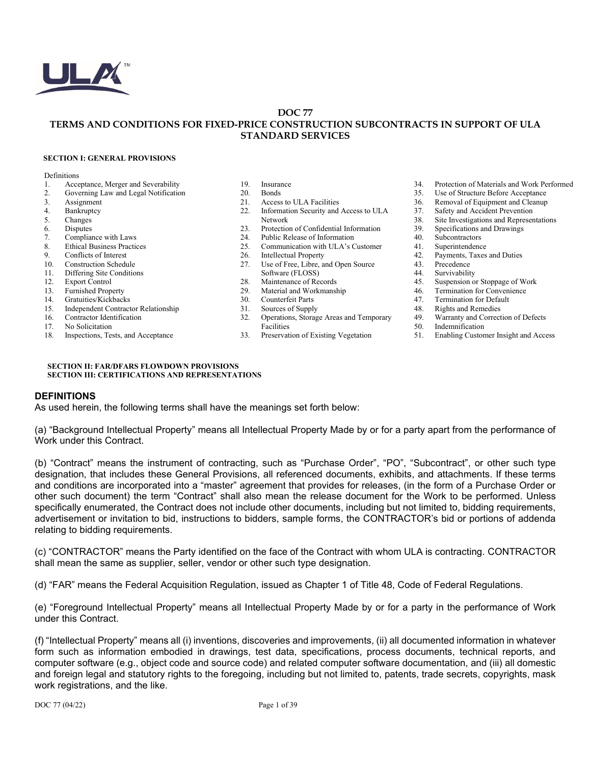

#### **DOC 77 TERMS AND CONDITIONS FOR FIXED-PRICE CONSTRUCTION SUBCONTRACTS IN SUPPORT OF ULA STANDARD SERVICES**

#### **SECTION I: GENERAL PROVISIONS**

#### Definitions

- 1. Acceptance, Merger and Severability
- 2. Governing Law and Legal Notification
- 3. Assignment<br>4. Bankruptcy
- 4. Bankruptcy<br>5. Changes
- 5. Changes<br>6. Disputes
- 6. Disputes<br>7. Complia
- Compliance with Laws
- 8. Ethical Business Practices<br>9. Conflicts of Interest
- 9. Conflicts of Interest<br>10 Construction Schedu
- Construction Schedule
- 11. Differing Site Conditions
- 12. Export Control<br>13. Furnished Prop
- Furnished Property
- 14. Gratuities/Kickbacks
- 15. Independent Contractor Relationship
- 16. Contractor Identification
- 17. No Solicitation
- 18. Inspections, Tests, and Acceptance

#### 19. Insurance

- 20. Bonds<br>21. Acces
- 
- 21. Access to ULA Facilities<br>22. Information Security and Information Security and Access to ULA Network
- 
- 23. Protection of Confidential Information<br>24. Public Release of Information Public Release of Information
- 25. Communication with ULA's Customer 26. Intellectual Property
- 
- 26. Intellectual Property<br>27 I Jse of Free Libre at Use of Free, Libre, and Open Source Software (FLOSS)
- 
- 28. Maintenance of Records<br>29. Material and Workmansh
- 29. Material and Workmanship<br>30 Counterfeit Parts Counterfeit Parts
- 31. Sources of Supply
- 32. Operations, Storage Areas and Temporary Facilities
- 33. Preservation of Existing Vegetation
- 34. Protection of Materials and Work Performed
- 35. Use of Structure Before Acceptance
- 36. Removal of Equipment and Cleanup<br>37. Safety and Accident Prevention
- 37. Safety and Accident Prevention<br>38. Site Investigations and Represent Site Investigations and Representations
- 
- 39. Specifications and Drawings<br>40. Subcontractors
- Subcontractors
- 41. Superintendence<br>42. Payments, Taxes
- 42. Payments, Taxes and Duties<br>43 Precedence
- **Precedence**
- 44. Survivability
- 45. Suspension or Stoppage of Work<br>46. Termination for Convenience
- 46. Termination for Convenience<br>47 Termination for Default
- Termination for Default
- 48. Rights and Remedies<br>49 Warranty and Correct
- 49. Warranty and Correction of Defects<br>50. Indemnification
- 50. Indemnification<br>51 Enabling Custom
- 51. Enabling Customer Insight and Access

#### **SECTION II: FAR/DFARS FLOWDOWN PROVISIONS SECTION III: CERTIFICATIONS AND REPRESENTATIONS**

#### **DEFINITIONS**

As used herein, the following terms shall have the meanings set forth below:

(a) "Background Intellectual Property" means all Intellectual Property Made by or for a party apart from the performance of Work under this Contract.

(b) "Contract" means the instrument of contracting, such as "Purchase Order", "PO", "Subcontract", or other such type designation, that includes these General Provisions, all referenced documents, exhibits, and attachments. If these terms and conditions are incorporated into a "master" agreement that provides for releases, (in the form of a Purchase Order or other such document) the term "Contract" shall also mean the release document for the Work to be performed. Unless specifically enumerated, the Contract does not include other documents, including but not limited to, bidding requirements, advertisement or invitation to bid, instructions to bidders, sample forms, the CONTRACTOR's bid or portions of addenda relating to bidding requirements.

(c) "CONTRACTOR" means the Party identified on the face of the Contract with whom ULA is contracting. CONTRACTOR shall mean the same as supplier, seller, vendor or other such type designation.

(d) "FAR" means the Federal Acquisition Regulation, issued as Chapter 1 of Title 48, Code of Federal Regulations.

(e) "Foreground Intellectual Property" means all Intellectual Property Made by or for a party in the performance of Work under this Contract.

(f) "Intellectual Property" means all (i) inventions, discoveries and improvements, (ii) all documented information in whatever form such as information embodied in drawings, test data, specifications, process documents, technical reports, and computer software (e.g., object code and source code) and related computer software documentation, and (iii) all domestic and foreign legal and statutory rights to the foregoing, including but not limited to, patents, trade secrets, copyrights, mask work registrations, and the like.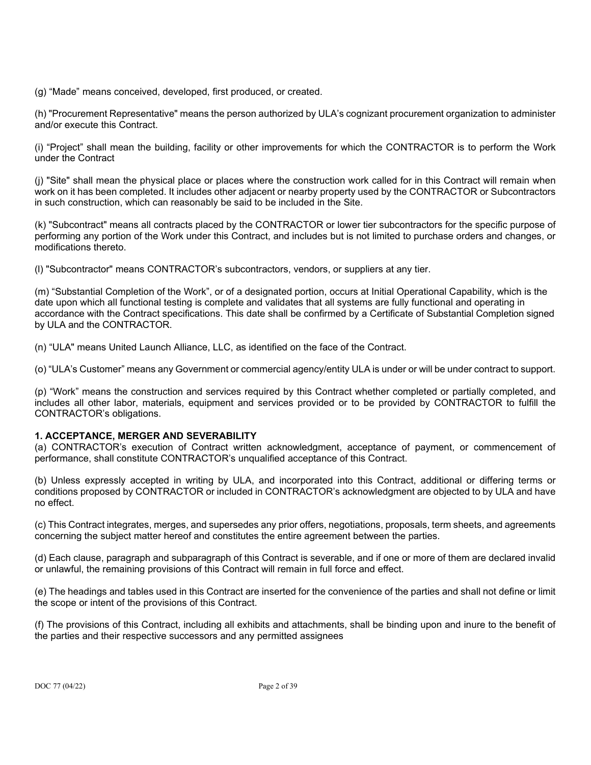(g) "Made" means conceived, developed, first produced, or created.

(h) "Procurement Representative" means the person authorized by ULA's cognizant procurement organization to administer and/or execute this Contract.

(i) "Project" shall mean the building, facility or other improvements for which the CONTRACTOR is to perform the Work under the Contract

(j) "Site" shall mean the physical place or places where the construction work called for in this Contract will remain when work on it has been completed. It includes other adjacent or nearby property used by the CONTRACTOR or Subcontractors in such construction, which can reasonably be said to be included in the Site.

(k) "Subcontract" means all contracts placed by the CONTRACTOR or lower tier subcontractors for the specific purpose of performing any portion of the Work under this Contract, and includes but is not limited to purchase orders and changes, or modifications thereto.

(l) "Subcontractor" means CONTRACTOR's subcontractors, vendors, or suppliers at any tier.

(m) "Substantial Completion of the Work", or of a designated portion, occurs at Initial Operational Capability, which is the date upon which all functional testing is complete and validates that all systems are fully functional and operating in accordance with the Contract specifications. This date shall be confirmed by a Certificate of Substantial Completion signed by ULA and the CONTRACTOR.

(n) "ULA" means United Launch Alliance, LLC, as identified on the face of the Contract.

(o) "ULA's Customer" means any Government or commercial agency/entity ULA is under or will be under contract to support.

(p) "Work" means the construction and services required by this Contract whether completed or partially completed, and includes all other labor, materials, equipment and services provided or to be provided by CONTRACTOR to fulfill the CONTRACTOR's obligations.

# **1. ACCEPTANCE, MERGER AND SEVERABILITY**

(a) CONTRACTOR's execution of Contract written acknowledgment, acceptance of payment, or commencement of performance, shall constitute CONTRACTOR's unqualified acceptance of this Contract.

(b) Unless expressly accepted in writing by ULA, and incorporated into this Contract, additional or differing terms or conditions proposed by CONTRACTOR or included in CONTRACTOR's acknowledgment are objected to by ULA and have no effect.

(c) This Contract integrates, merges, and supersedes any prior offers, negotiations, proposals, term sheets, and agreements concerning the subject matter hereof and constitutes the entire agreement between the parties.

(d) Each clause, paragraph and subparagraph of this Contract is severable, and if one or more of them are declared invalid or unlawful, the remaining provisions of this Contract will remain in full force and effect.

(e) The headings and tables used in this Contract are inserted for the convenience of the parties and shall not define or limit the scope or intent of the provisions of this Contract.

(f) The provisions of this Contract, including all exhibits and attachments, shall be binding upon and inure to the benefit of the parties and their respective successors and any permitted assignees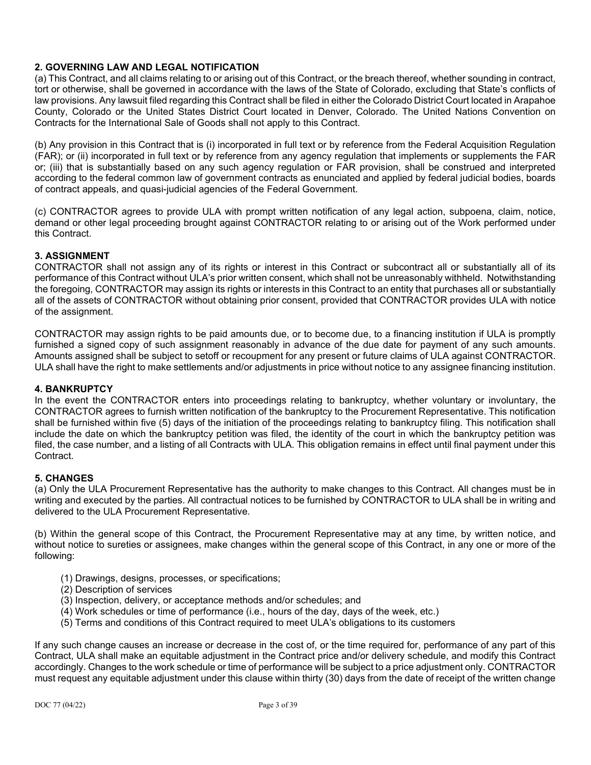# **2. GOVERNING LAW AND LEGAL NOTIFICATION**

(a) This Contract, and all claims relating to or arising out of this Contract, or the breach thereof, whether sounding in contract, tort or otherwise, shall be governed in accordance with the laws of the State of Colorado, excluding that State's conflicts of law provisions. Any lawsuit filed regarding this Contract shall be filed in either the Colorado District Court located in Arapahoe County, Colorado or the United States District Court located in Denver, Colorado. The United Nations Convention on Contracts for the International Sale of Goods shall not apply to this Contract.

(b) Any provision in this Contract that is (i) incorporated in full text or by reference from the Federal Acquisition Regulation (FAR); or (ii) incorporated in full text or by reference from any agency regulation that implements or supplements the FAR or; (iii) that is substantially based on any such agency regulation or FAR provision, shall be construed and interpreted according to the federal common law of government contracts as enunciated and applied by federal judicial bodies, boards of contract appeals, and quasi-judicial agencies of the Federal Government.

(c) CONTRACTOR agrees to provide ULA with prompt written notification of any legal action, subpoena, claim, notice, demand or other legal proceeding brought against CONTRACTOR relating to or arising out of the Work performed under this Contract.

# **3. ASSIGNMENT**

CONTRACTOR shall not assign any of its rights or interest in this Contract or subcontract all or substantially all of its performance of this Contract without ULA's prior written consent, which shall not be unreasonably withheld. Notwithstanding the foregoing, CONTRACTOR may assign its rights or interests in this Contract to an entity that purchases all or substantially all of the assets of CONTRACTOR without obtaining prior consent, provided that CONTRACTOR provides ULA with notice of the assignment.

CONTRACTOR may assign rights to be paid amounts due, or to become due, to a financing institution if ULA is promptly furnished a signed copy of such assignment reasonably in advance of the due date for payment of any such amounts. Amounts assigned shall be subject to setoff or recoupment for any present or future claims of ULA against CONTRACTOR. ULA shall have the right to make settlements and/or adjustments in price without notice to any assignee financing institution.

# **4. BANKRUPTCY**

In the event the CONTRACTOR enters into proceedings relating to bankruptcy, whether voluntary or involuntary, the CONTRACTOR agrees to furnish written notification of the bankruptcy to the Procurement Representative. This notification shall be furnished within five (5) days of the initiation of the proceedings relating to bankruptcy filing. This notification shall include the date on which the bankruptcy petition was filed, the identity of the court in which the bankruptcy petition was filed, the case number, and a listing of all Contracts with ULA. This obligation remains in effect until final payment under this Contract.

# **5. CHANGES**

(a) Only the ULA Procurement Representative has the authority to make changes to this Contract. All changes must be in writing and executed by the parties. All contractual notices to be furnished by CONTRACTOR to ULA shall be in writing and delivered to the ULA Procurement Representative.

(b) Within the general scope of this Contract, the Procurement Representative may at any time, by written notice, and without notice to sureties or assignees, make changes within the general scope of this Contract, in any one or more of the following:

- (1) Drawings, designs, processes, or specifications;
- (2) Description of services
- (3) Inspection, delivery, or acceptance methods and/or schedules; and
- (4) Work schedules or time of performance (i.e., hours of the day, days of the week, etc.)
- (5) Terms and conditions of this Contract required to meet ULA's obligations to its customers

If any such change causes an increase or decrease in the cost of, or the time required for, performance of any part of this Contract, ULA shall make an equitable adjustment in the Contract price and/or delivery schedule, and modify this Contract accordingly. Changes to the work schedule or time of performance will be subject to a price adjustment only. CONTRACTOR must request any equitable adjustment under this clause within thirty (30) days from the date of receipt of the written change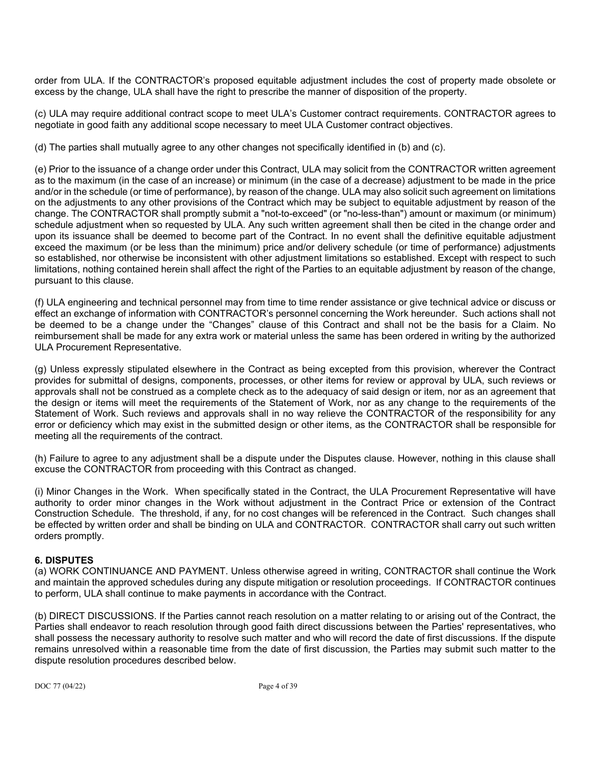order from ULA. If the CONTRACTOR's proposed equitable adjustment includes the cost of property made obsolete or excess by the change, ULA shall have the right to prescribe the manner of disposition of the property.

(c) ULA may require additional contract scope to meet ULA's Customer contract requirements. CONTRACTOR agrees to negotiate in good faith any additional scope necessary to meet ULA Customer contract objectives.

(d) The parties shall mutually agree to any other changes not specifically identified in (b) and (c).

(e) Prior to the issuance of a change order under this Contract, ULA may solicit from the CONTRACTOR written agreement as to the maximum (in the case of an increase) or minimum (in the case of a decrease) adjustment to be made in the price and/or in the schedule (or time of performance), by reason of the change. ULA may also solicit such agreement on limitations on the adjustments to any other provisions of the Contract which may be subject to equitable adjustment by reason of the change. The CONTRACTOR shall promptly submit a "not-to-exceed" (or "no-less-than") amount or maximum (or minimum) schedule adjustment when so requested by ULA. Any such written agreement shall then be cited in the change order and upon its issuance shall be deemed to become part of the Contract. In no event shall the definitive equitable adjustment exceed the maximum (or be less than the minimum) price and/or delivery schedule (or time of performance) adjustments so established, nor otherwise be inconsistent with other adjustment limitations so established. Except with respect to such limitations, nothing contained herein shall affect the right of the Parties to an equitable adjustment by reason of the change, pursuant to this clause.

(f) ULA engineering and technical personnel may from time to time render assistance or give technical advice or discuss or effect an exchange of information with CONTRACTOR's personnel concerning the Work hereunder. Such actions shall not be deemed to be a change under the "Changes" clause of this Contract and shall not be the basis for a Claim. No reimbursement shall be made for any extra work or material unless the same has been ordered in writing by the authorized ULA Procurement Representative.

(g) Unless expressly stipulated elsewhere in the Contract as being excepted from this provision, wherever the Contract provides for submittal of designs, components, processes, or other items for review or approval by ULA, such reviews or approvals shall not be construed as a complete check as to the adequacy of said design or item, nor as an agreement that the design or items will meet the requirements of the Statement of Work, nor as any change to the requirements of the Statement of Work. Such reviews and approvals shall in no way relieve the CONTRACTOR of the responsibility for any error or deficiency which may exist in the submitted design or other items, as the CONTRACTOR shall be responsible for meeting all the requirements of the contract.

(h) Failure to agree to any adjustment shall be a dispute under the Disputes clause. However, nothing in this clause shall excuse the CONTRACTOR from proceeding with this Contract as changed.

(i) Minor Changes in the Work. When specifically stated in the Contract, the ULA Procurement Representative will have authority to order minor changes in the Work without adjustment in the Contract Price or extension of the Contract Construction Schedule. The threshold, if any, for no cost changes will be referenced in the Contract. Such changes shall be effected by written order and shall be binding on ULA and CONTRACTOR. CONTRACTOR shall carry out such written orders promptly.

# **6. DISPUTES**

(a) WORK CONTINUANCE AND PAYMENT. Unless otherwise agreed in writing, CONTRACTOR shall continue the Work and maintain the approved schedules during any dispute mitigation or resolution proceedings. If CONTRACTOR continues to perform, ULA shall continue to make payments in accordance with the Contract.

(b) DIRECT DISCUSSIONS. If the Parties cannot reach resolution on a matter relating to or arising out of the Contract, the Parties shall endeavor to reach resolution through good faith direct discussions between the Parties' representatives, who shall possess the necessary authority to resolve such matter and who will record the date of first discussions. If the dispute remains unresolved within a reasonable time from the date of first discussion, the Parties may submit such matter to the dispute resolution procedures described below.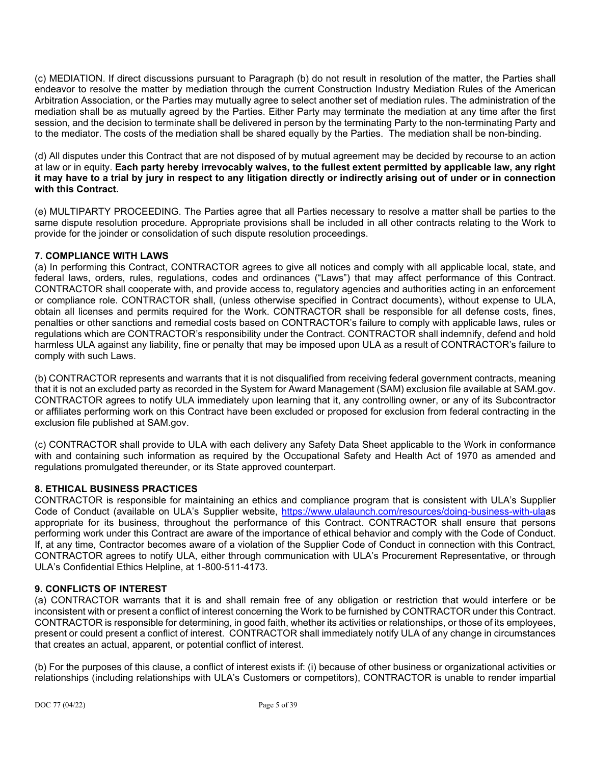(c) MEDIATION. If direct discussions pursuant to Paragraph (b) do not result in resolution of the matter, the Parties shall endeavor to resolve the matter by mediation through the current Construction Industry Mediation Rules of the American Arbitration Association, or the Parties may mutually agree to select another set of mediation rules. The administration of the mediation shall be as mutually agreed by the Parties. Either Party may terminate the mediation at any time after the first session, and the decision to terminate shall be delivered in person by the terminating Party to the non-terminating Party and to the mediator. The costs of the mediation shall be shared equally by the Parties. The mediation shall be non-binding.

(d) All disputes under this Contract that are not disposed of by mutual agreement may be decided by recourse to an action at law or in equity. **Each party hereby irrevocably waives, to the fullest extent permitted by applicable law, any right it may have to a trial by jury in respect to any litigation directly or indirectly arising out of under or in connection with this Contract.** 

(e) MULTIPARTY PROCEEDING. The Parties agree that all Parties necessary to resolve a matter shall be parties to the same dispute resolution procedure. Appropriate provisions shall be included in all other contracts relating to the Work to provide for the joinder or consolidation of such dispute resolution proceedings.

# **7. COMPLIANCE WITH LAWS**

(a) In performing this Contract, CONTRACTOR agrees to give all notices and comply with all applicable local, state, and federal laws, orders, rules, regulations, codes and ordinances ("Laws") that may affect performance of this Contract. CONTRACTOR shall cooperate with, and provide access to, regulatory agencies and authorities acting in an enforcement or compliance role. CONTRACTOR shall, (unless otherwise specified in Contract documents), without expense to ULA, obtain all licenses and permits required for the Work. CONTRACTOR shall be responsible for all defense costs, fines, penalties or other sanctions and remedial costs based on CONTRACTOR's failure to comply with applicable laws, rules or regulations which are CONTRACTOR's responsibility under the Contract. CONTRACTOR shall indemnify, defend and hold harmless ULA against any liability, fine or penalty that may be imposed upon ULA as a result of CONTRACTOR's failure to comply with such Laws.

(b) CONTRACTOR represents and warrants that it is not disqualified from receiving federal government contracts, meaning that it is not an excluded party as recorded in the System for Award Management (SAM) exclusion file available at SAM.gov. CONTRACTOR agrees to notify ULA immediately upon learning that it, any controlling owner, or any of its Subcontractor or affiliates performing work on this Contract have been excluded or proposed for exclusion from federal contracting in the exclusion file published at SAM.gov.

(c) CONTRACTOR shall provide to ULA with each delivery any Safety Data Sheet applicable to the Work in conformance with and containing such information as required by the Occupational Safety and Health Act of 1970 as amended and regulations promulgated thereunder, or its State approved counterpart.

#### **8. ETHICAL BUSINESS PRACTICES**

CONTRACTOR is responsible for maintaining an ethics and compliance program that is consistent with ULA's Supplier Code of Conduct (available on ULA's Supplier website, [https://www.ulalaunch.com/resources/doing-business-with-ulaa](https://www.ulalaunch.com/resources/doing-business-with-ula)s appropriate for its business, throughout the performance of this Contract. CONTRACTOR shall ensure that persons performing work under this Contract are aware of the importance of ethical behavior and comply with the Code of Conduct. If, at any time, Contractor becomes aware of a violation of the Supplier Code of Conduct in connection with this Contract, CONTRACTOR agrees to notify ULA, either through communication with ULA's Procurement Representative, or through ULA's Confidential Ethics Helpline, at 1-800-511-4173.

# **9. CONFLICTS OF INTEREST**

(a) CONTRACTOR warrants that it is and shall remain free of any obligation or restriction that would interfere or be inconsistent with or present a conflict of interest concerning the Work to be furnished by CONTRACTOR under this Contract. CONTRACTOR is responsible for determining, in good faith, whether its activities or relationships, or those of its employees, present or could present a conflict of interest. CONTRACTOR shall immediately notify ULA of any change in circumstances that creates an actual, apparent, or potential conflict of interest.

(b) For the purposes of this clause, a conflict of interest exists if: (i) because of other business or organizational activities or relationships (including relationships with ULA's Customers or competitors), CONTRACTOR is unable to render impartial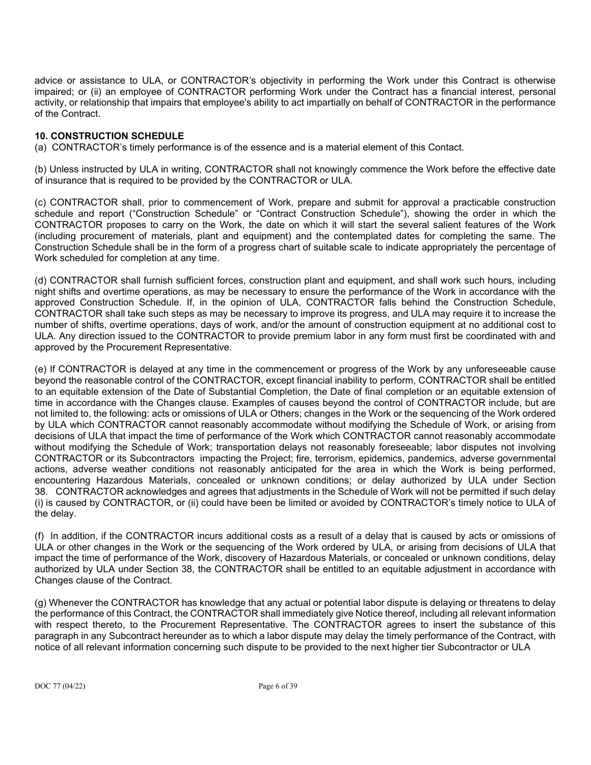advice or assistance to ULA, or CONTRACTOR's objectivity in performing the Work under this Contract is otherwise impaired; or (ii) an employee of CONTRACTOR performing Work under the Contract has a financial interest, personal activity, or relationship that impairs that employee's ability to act impartially on behalf of CONTRACTOR in the performance of the Contract.

# **10. CONSTRUCTION SCHEDULE**

(a) CONTRACTOR's timely performance is of the essence and is a material element of this Contact.

(b) Unless instructed by ULA in writing, CONTRACTOR shall not knowingly commence the Work before the effective date of insurance that is required to be provided by the CONTRACTOR or ULA.

(c) CONTRACTOR shall, prior to commencement of Work, prepare and submit for approval a practicable construction schedule and report ("Construction Schedule" or "Contract Construction Schedule"), showing the order in which the CONTRACTOR proposes to carry on the Work, the date on which it will start the several salient features of the Work (including procurement of materials, plant and equipment) and the contemplated dates for completing the same. The Construction Schedule shall be in the form of a progress chart of suitable scale to indicate appropriately the percentage of Work scheduled for completion at any time.

(d) CONTRACTOR shall furnish sufficient forces, construction plant and equipment, and shall work such hours, including night shifts and overtime operations, as may be necessary to ensure the performance of the Work in accordance with the approved Construction Schedule. If, in the opinion of ULA, CONTRACTOR falls behind the Construction Schedule, CONTRACTOR shall take such steps as may be necessary to improve its progress, and ULA may require it to increase the number of shifts, overtime operations, days of work, and/or the amount of construction equipment at no additional cost to ULA. Any direction issued to the CONTRACTOR to provide premium labor in any form must first be coordinated with and approved by the Procurement Representative.

(e) If CONTRACTOR is delayed at any time in the commencement or progress of the Work by any unforeseeable cause beyond the reasonable control of the CONTRACTOR, except financial inability to perform, CONTRACTOR shall be entitled to an equitable extension of the Date of Substantial Completion, the Date of final completion or an equitable extension of time in accordance with the Changes clause. Examples of causes beyond the control of CONTRACTOR include, but are not limited to, the following: acts or omissions of ULA or Others; changes in the Work or the sequencing of the Work ordered by ULA which CONTRACTOR cannot reasonably accommodate without modifying the Schedule of Work, or arising from decisions of ULA that impact the time of performance of the Work which CONTRACTOR cannot reasonably accommodate without modifying the Schedule of Work; transportation delays not reasonably foreseeable; labor disputes not involving CONTRACTOR or its Subcontractors impacting the Project; fire, terrorism, epidemics, pandemics, adverse governmental actions, adverse weather conditions not reasonably anticipated for the area in which the Work is being performed, encountering Hazardous Materials, concealed or unknown conditions; or delay authorized by ULA under Section 38. CONTRACTOR acknowledges and agrees that adjustments in the Schedule of Work will not be permitted if such delay (i) is caused by CONTRACTOR, or (ii) could have been be limited or avoided by CONTRACTOR's timely notice to ULA of the delay.

(f) In addition, if the CONTRACTOR incurs additional costs as a result of a delay that is caused by acts or omissions of ULA or other changes in the Work or the sequencing of the Work ordered by ULA, or arising from decisions of ULA that impact the time of performance of the Work, discovery of Hazardous Materials, or concealed or unknown conditions, delay authorized by ULA under Section 38, the CONTRACTOR shall be entitled to an equitable adjustment in accordance with Changes clause of the Contract.

(g) Whenever the CONTRACTOR has knowledge that any actual or potential labor dispute is delaying or threatens to delay the performance of this Contract, the CONTRACTOR shall immediately give Notice thereof, including all relevant information with respect thereto, to the Procurement Representative. The CONTRACTOR agrees to insert the substance of this paragraph in any Subcontract hereunder as to which a labor dispute may delay the timely performance of the Contract, with notice of all relevant information concerning such dispute to be provided to the next higher tier Subcontractor or ULA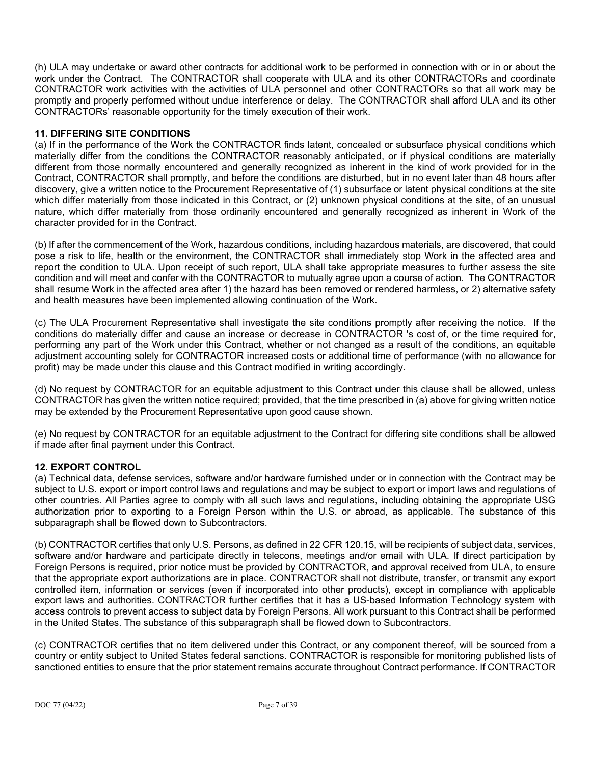(h) ULA may undertake or award other contracts for additional work to be performed in connection with or in or about the work under the Contract. The CONTRACTOR shall cooperate with ULA and its other CONTRACTORs and coordinate CONTRACTOR work activities with the activities of ULA personnel and other CONTRACTORs so that all work may be promptly and properly performed without undue interference or delay. The CONTRACTOR shall afford ULA and its other CONTRACTORs' reasonable opportunity for the timely execution of their work.

# **11. DIFFERING SITE CONDITIONS**

(a) If in the performance of the Work the CONTRACTOR finds latent, concealed or subsurface physical conditions which materially differ from the conditions the CONTRACTOR reasonably anticipated, or if physical conditions are materially different from those normally encountered and generally recognized as inherent in the kind of work provided for in the Contract, CONTRACTOR shall promptly, and before the conditions are disturbed, but in no event later than 48 hours after discovery, give a written notice to the Procurement Representative of (1) subsurface or latent physical conditions at the site which differ materially from those indicated in this Contract, or (2) unknown physical conditions at the site, of an unusual nature, which differ materially from those ordinarily encountered and generally recognized as inherent in Work of the character provided for in the Contract.

(b) If after the commencement of the Work, hazardous conditions, including hazardous materials, are discovered, that could pose a risk to life, health or the environment, the CONTRACTOR shall immediately stop Work in the affected area and report the condition to ULA. Upon receipt of such report, ULA shall take appropriate measures to further assess the site condition and will meet and confer with the CONTRACTOR to mutually agree upon a course of action. The CONTRACTOR shall resume Work in the affected area after 1) the hazard has been removed or rendered harmless, or 2) alternative safety and health measures have been implemented allowing continuation of the Work.

(c) The ULA Procurement Representative shall investigate the site conditions promptly after receiving the notice. If the conditions do materially differ and cause an increase or decrease in CONTRACTOR 's cost of, or the time required for, performing any part of the Work under this Contract, whether or not changed as a result of the conditions, an equitable adjustment accounting solely for CONTRACTOR increased costs or additional time of performance (with no allowance for profit) may be made under this clause and this Contract modified in writing accordingly.

(d) No request by CONTRACTOR for an equitable adjustment to this Contract under this clause shall be allowed, unless CONTRACTOR has given the written notice required; provided, that the time prescribed in (a) above for giving written notice may be extended by the Procurement Representative upon good cause shown.

(e) No request by CONTRACTOR for an equitable adjustment to the Contract for differing site conditions shall be allowed if made after final payment under this Contract.

# **12. EXPORT CONTROL**

(a) Technical data, defense services, software and/or hardware furnished under or in connection with the Contract may be subject to U.S. export or import control laws and regulations and may be subject to export or import laws and regulations of other countries. All Parties agree to comply with all such laws and regulations, including obtaining the appropriate USG authorization prior to exporting to a Foreign Person within the U.S. or abroad, as applicable. The substance of this subparagraph shall be flowed down to Subcontractors.

(b) CONTRACTOR certifies that only U.S. Persons, as defined in 22 CFR 120.15, will be recipients of subject data, services, software and/or hardware and participate directly in telecons, meetings and/or email with ULA. If direct participation by Foreign Persons is required, prior notice must be provided by CONTRACTOR, and approval received from ULA, to ensure that the appropriate export authorizations are in place. CONTRACTOR shall not distribute, transfer, or transmit any export controlled item, information or services (even if incorporated into other products), except in compliance with applicable export laws and authorities. CONTRACTOR further certifies that it has a US-based Information Technology system with access controls to prevent access to subject data by Foreign Persons. All work pursuant to this Contract shall be performed in the United States. The substance of this subparagraph shall be flowed down to Subcontractors.

(c) CONTRACTOR certifies that no item delivered under this Contract, or any component thereof, will be sourced from a country or entity subject to United States federal sanctions. CONTRACTOR is responsible for monitoring published lists of sanctioned entities to ensure that the prior statement remains accurate throughout Contract performance. If CONTRACTOR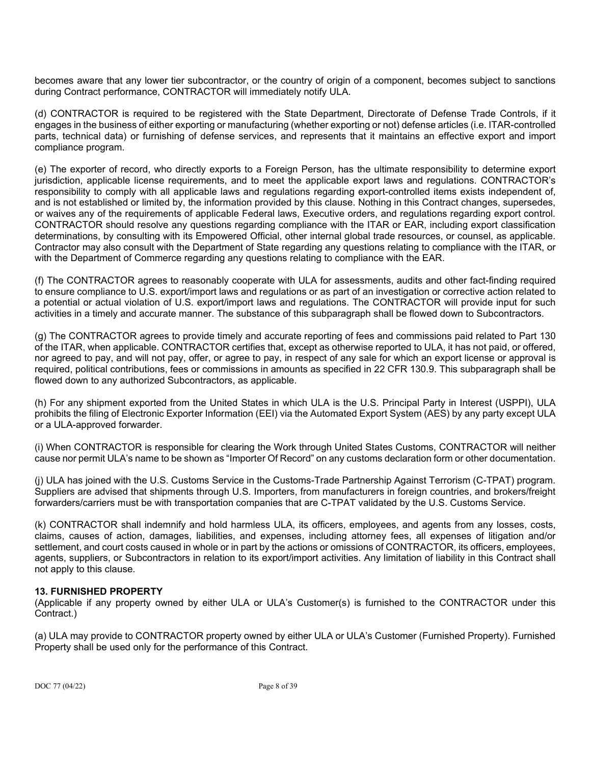becomes aware that any lower tier subcontractor, or the country of origin of a component, becomes subject to sanctions during Contract performance, CONTRACTOR will immediately notify ULA.

(d) CONTRACTOR is required to be registered with the State Department, Directorate of Defense Trade Controls, if it engages in the business of either exporting or manufacturing (whether exporting or not) defense articles (i.e. ITAR-controlled parts, technical data) or furnishing of defense services, and represents that it maintains an effective export and import compliance program.

(e) The exporter of record, who directly exports to a Foreign Person, has the ultimate responsibility to determine export jurisdiction, applicable license requirements, and to meet the applicable export laws and regulations. CONTRACTOR's responsibility to comply with all applicable laws and regulations regarding export-controlled items exists independent of, and is not established or limited by, the information provided by this clause. Nothing in this Contract changes, supersedes, or waives any of the requirements of applicable Federal laws, Executive orders, and regulations regarding export control. CONTRACTOR should resolve any questions regarding compliance with the ITAR or EAR, including export classification determinations, by consulting with its Empowered Official, other internal global trade resources, or counsel, as applicable. Contractor may also consult with the Department of State regarding any questions relating to compliance with the ITAR, or with the Department of Commerce regarding any questions relating to compliance with the EAR.

(f) The CONTRACTOR agrees to reasonably cooperate with ULA for assessments, audits and other fact-finding required to ensure compliance to U.S. export/import laws and regulations or as part of an investigation or corrective action related to a potential or actual violation of U.S. export/import laws and regulations. The CONTRACTOR will provide input for such activities in a timely and accurate manner. The substance of this subparagraph shall be flowed down to Subcontractors.

(g) The CONTRACTOR agrees to provide timely and accurate reporting of fees and commissions paid related to Part 130 of the ITAR, when applicable. CONTRACTOR certifies that, except as otherwise reported to ULA, it has not paid, or offered, nor agreed to pay, and will not pay, offer, or agree to pay, in respect of any sale for which an export license or approval is required, political contributions, fees or commissions in amounts as specified in 22 CFR 130.9. This subparagraph shall be flowed down to any authorized Subcontractors, as applicable.

(h) For any shipment exported from the United States in which ULA is the U.S. Principal Party in Interest (USPPI), ULA prohibits the filing of Electronic Exporter Information (EEI) via the Automated Export System (AES) by any party except ULA or a ULA-approved forwarder.

(i) When CONTRACTOR is responsible for clearing the Work through United States Customs, CONTRACTOR will neither cause nor permit ULA's name to be shown as "Importer Of Record" on any customs declaration form or other documentation.

(j) ULA has joined with the U.S. Customs Service in the Customs-Trade Partnership Against Terrorism (C-TPAT) program. Suppliers are advised that shipments through U.S. Importers, from manufacturers in foreign countries, and brokers/freight forwarders/carriers must be with transportation companies that are C-TPAT validated by the U.S. Customs Service.

(k) CONTRACTOR shall indemnify and hold harmless ULA, its officers, employees, and agents from any losses, costs, claims, causes of action, damages, liabilities, and expenses, including attorney fees, all expenses of litigation and/or settlement, and court costs caused in whole or in part by the actions or omissions of CONTRACTOR, its officers, employees, agents, suppliers, or Subcontractors in relation to its export/import activities. Any limitation of liability in this Contract shall not apply to this clause.

# **13. FURNISHED PROPERTY**

(Applicable if any property owned by either ULA or ULA's Customer(s) is furnished to the CONTRACTOR under this Contract.)

(a) ULA may provide to CONTRACTOR property owned by either ULA or ULA's Customer (Furnished Property). Furnished Property shall be used only for the performance of this Contract.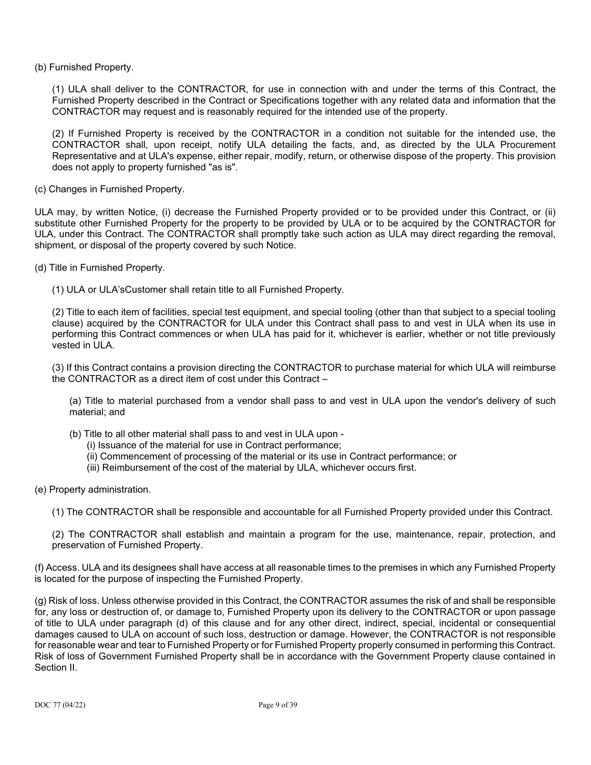(b) Furnished Property.

(1) ULA shall deliver to the CONTRACTOR, for use in connection with and under the terms of this Contract, the Furnished Property described in the Contract or Specifications together with any related data and information that the CONTRACTOR may request and is reasonably required for the intended use of the property.

(2) If Furnished Property is received by the CONTRACTOR in a condition not suitable for the intended use, the CONTRACTOR shall, upon receipt, notify ULA detailing the facts, and, as directed by the ULA Procurement Representative and at ULA's expense, either repair, modify, return, or otherwise dispose of the property. This provision does not apply to property furnished "as is".

(c) Changes in Furnished Property.

ULA may, by written Notice, (i) decrease the Furnished Property provided or to be provided under this Contract, or (ii) substitute other Furnished Property for the property to be provided by ULA or to be acquired by the CONTRACTOR for ULA, under this Contract. The CONTRACTOR shall promptly take such action as ULA may direct regarding the removal, shipment, or disposal of the property covered by such Notice.

(d) Title in Furnished Property.

(1) ULA or ULA'sCustomer shall retain title to all Furnished Property.

(2) Title to each item of facilities, special test equipment, and special tooling (other than that subject to a special tooling clause) acquired by the CONTRACTOR for ULA under this Contract shall pass to and vest in ULA when its use in performing this Contract commences or when ULA has paid for it, whichever is earlier, whether or not title previously vested in ULA.

(3) If this Contract contains a provision directing the CONTRACTOR to purchase material for which ULA will reimburse the CONTRACTOR as a direct item of cost under this Contract –

(a) Title to material purchased from a vendor shall pass to and vest in ULA upon the vendor's delivery of such material; and

- (b) Title to all other material shall pass to and vest in ULA upon
	- (i) Issuance of the material for use in Contract performance;
	- (ii) Commencement of processing of the material or its use in Contract performance; or
	- (iii) Reimbursement of the cost of the material by ULA, whichever occurs first.
- (e) Property administration.
	- (1) The CONTRACTOR shall be responsible and accountable for all Furnished Property provided under this Contract.
	- (2) The CONTRACTOR shall establish and maintain a program for the use, maintenance, repair, protection, and preservation of Furnished Property.

(f) Access. ULA and its designees shall have access at all reasonable times to the premises in which any Furnished Property is located for the purpose of inspecting the Furnished Property.

(g) Risk of loss. Unless otherwise provided in this Contract, the CONTRACTOR assumes the risk of and shall be responsible for, any loss or destruction of, or damage to, Furnished Property upon its delivery to the CONTRACTOR or upon passage of title to ULA under paragraph (d) of this clause and for any other direct, indirect, special, incidental or consequential damages caused to ULA on account of such loss, destruction or damage. However, the CONTRACTOR is not responsible for reasonable wear and tear to Furnished Property or for Furnished Property properly consumed in performing this Contract. Risk of loss of Government Furnished Property shall be in accordance with the Government Property clause contained in Section II.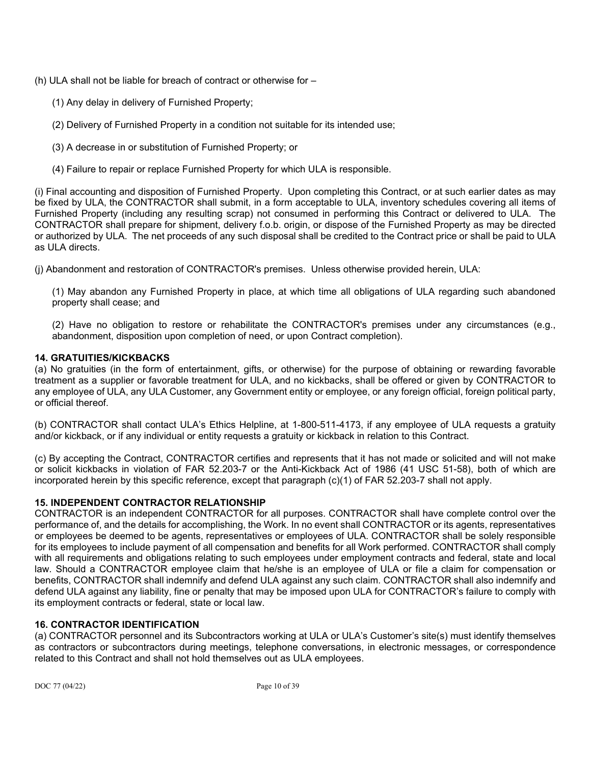- (h) ULA shall not be liable for breach of contract or otherwise for
	- (1) Any delay in delivery of Furnished Property;
	- (2) Delivery of Furnished Property in a condition not suitable for its intended use;
	- (3) A decrease in or substitution of Furnished Property; or
	- (4) Failure to repair or replace Furnished Property for which ULA is responsible.

(i) Final accounting and disposition of Furnished Property. Upon completing this Contract, or at such earlier dates as may be fixed by ULA, the CONTRACTOR shall submit, in a form acceptable to ULA, inventory schedules covering all items of Furnished Property (including any resulting scrap) not consumed in performing this Contract or delivered to ULA. The CONTRACTOR shall prepare for shipment, delivery f.o.b. origin, or dispose of the Furnished Property as may be directed or authorized by ULA. The net proceeds of any such disposal shall be credited to the Contract price or shall be paid to ULA as ULA directs.

(j) Abandonment and restoration of CONTRACTOR's premises. Unless otherwise provided herein, ULA:

(1) May abandon any Furnished Property in place, at which time all obligations of ULA regarding such abandoned property shall cease; and

(2) Have no obligation to restore or rehabilitate the CONTRACTOR's premises under any circumstances (e.g., abandonment, disposition upon completion of need, or upon Contract completion).

# **14. GRATUITIES/KICKBACKS**

(a) No gratuities (in the form of entertainment, gifts, or otherwise) for the purpose of obtaining or rewarding favorable treatment as a supplier or favorable treatment for ULA, and no kickbacks, shall be offered or given by CONTRACTOR to any employee of ULA, any ULA Customer, any Government entity or employee, or any foreign official, foreign political party, or official thereof.

(b) CONTRACTOR shall contact ULA's Ethics Helpline, at 1-800-511-4173, if any employee of ULA requests a gratuity and/or kickback, or if any individual or entity requests a gratuity or kickback in relation to this Contract.

(c) By accepting the Contract, CONTRACTOR certifies and represents that it has not made or solicited and will not make or solicit kickbacks in violation of FAR 52.203-7 or the Anti-Kickback Act of 1986 (41 USC 51-58), both of which are incorporated herein by this specific reference, except that paragraph (c)(1) of FAR 52.203-7 shall not apply.

# **15. INDEPENDENT CONTRACTOR RELATIONSHIP**

CONTRACTOR is an independent CONTRACTOR for all purposes. CONTRACTOR shall have complete control over the performance of, and the details for accomplishing, the Work. In no event shall CONTRACTOR or its agents, representatives or employees be deemed to be agents, representatives or employees of ULA. CONTRACTOR shall be solely responsible for its employees to include payment of all compensation and benefits for all Work performed. CONTRACTOR shall comply with all requirements and obligations relating to such employees under employment contracts and federal, state and local law. Should a CONTRACTOR employee claim that he/she is an employee of ULA or file a claim for compensation or benefits, CONTRACTOR shall indemnify and defend ULA against any such claim. CONTRACTOR shall also indemnify and defend ULA against any liability, fine or penalty that may be imposed upon ULA for CONTRACTOR's failure to comply with its employment contracts or federal, state or local law.

# **16. CONTRACTOR IDENTIFICATION**

(a) CONTRACTOR personnel and its Subcontractors working at ULA or ULA's Customer's site(s) must identify themselves as contractors or subcontractors during meetings, telephone conversations, in electronic messages, or correspondence related to this Contract and shall not hold themselves out as ULA employees.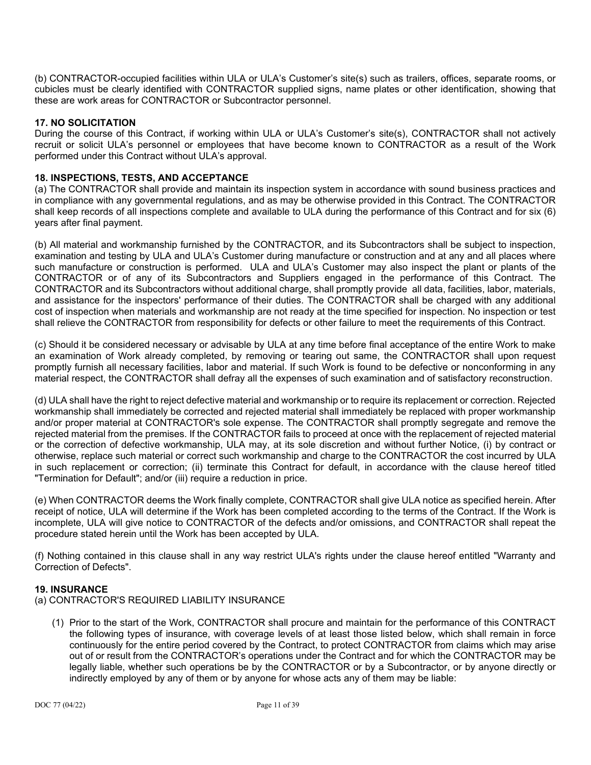(b) CONTRACTOR-occupied facilities within ULA or ULA's Customer's site(s) such as trailers, offices, separate rooms, or cubicles must be clearly identified with CONTRACTOR supplied signs, name plates or other identification, showing that these are work areas for CONTRACTOR or Subcontractor personnel.

### **17. NO SOLICITATION**

During the course of this Contract, if working within ULA or ULA's Customer's site(s), CONTRACTOR shall not actively recruit or solicit ULA's personnel or employees that have become known to CONTRACTOR as a result of the Work performed under this Contract without ULA's approval.

### **18. INSPECTIONS, TESTS, AND ACCEPTANCE**

(a) The CONTRACTOR shall provide and maintain its inspection system in accordance with sound business practices and in compliance with any governmental regulations, and as may be otherwise provided in this Contract. The CONTRACTOR shall keep records of all inspections complete and available to ULA during the performance of this Contract and for six (6) years after final payment.

(b) All material and workmanship furnished by the CONTRACTOR, and its Subcontractors shall be subject to inspection, examination and testing by ULA and ULA's Customer during manufacture or construction and at any and all places where such manufacture or construction is performed. ULA and ULA's Customer may also inspect the plant or plants of the CONTRACTOR or of any of its Subcontractors and Suppliers engaged in the performance of this Contract. The CONTRACTOR and its Subcontractors without additional charge, shall promptly provide all data, facilities, labor, materials, and assistance for the inspectors' performance of their duties. The CONTRACTOR shall be charged with any additional cost of inspection when materials and workmanship are not ready at the time specified for inspection. No inspection or test shall relieve the CONTRACTOR from responsibility for defects or other failure to meet the requirements of this Contract.

(c) Should it be considered necessary or advisable by ULA at any time before final acceptance of the entire Work to make an examination of Work already completed, by removing or tearing out same, the CONTRACTOR shall upon request promptly furnish all necessary facilities, labor and material. If such Work is found to be defective or nonconforming in any material respect, the CONTRACTOR shall defray all the expenses of such examination and of satisfactory reconstruction.

(d) ULA shall have the right to reject defective material and workmanship or to require its replacement or correction. Rejected workmanship shall immediately be corrected and rejected material shall immediately be replaced with proper workmanship and/or proper material at CONTRACTOR's sole expense. The CONTRACTOR shall promptly segregate and remove the rejected material from the premises. If the CONTRACTOR fails to proceed at once with the replacement of rejected material or the correction of defective workmanship, ULA may, at its sole discretion and without further Notice, (i) by contract or otherwise, replace such material or correct such workmanship and charge to the CONTRACTOR the cost incurred by ULA in such replacement or correction; (ii) terminate this Contract for default, in accordance with the clause hereof titled "Termination for Default"; and/or (iii) require a reduction in price.

(e) When CONTRACTOR deems the Work finally complete, CONTRACTOR shall give ULA notice as specified herein. After receipt of notice, ULA will determine if the Work has been completed according to the terms of the Contract. If the Work is incomplete, ULA will give notice to CONTRACTOR of the defects and/or omissions, and CONTRACTOR shall repeat the procedure stated herein until the Work has been accepted by ULA.

(f) Nothing contained in this clause shall in any way restrict ULA's rights under the clause hereof entitled "Warranty and Correction of Defects".

#### **19. INSURANCE**

- (a) CONTRACTOR'S REQUIRED LIABILITY INSURANCE
	- (1) Prior to the start of the Work, CONTRACTOR shall procure and maintain for the performance of this CONTRACT the following types of insurance, with coverage levels of at least those listed below, which shall remain in force continuously for the entire period covered by the Contract, to protect CONTRACTOR from claims which may arise out of or result from the CONTRACTOR's operations under the Contract and for which the CONTRACTOR may be legally liable, whether such operations be by the CONTRACTOR or by a Subcontractor, or by anyone directly or indirectly employed by any of them or by anyone for whose acts any of them may be liable: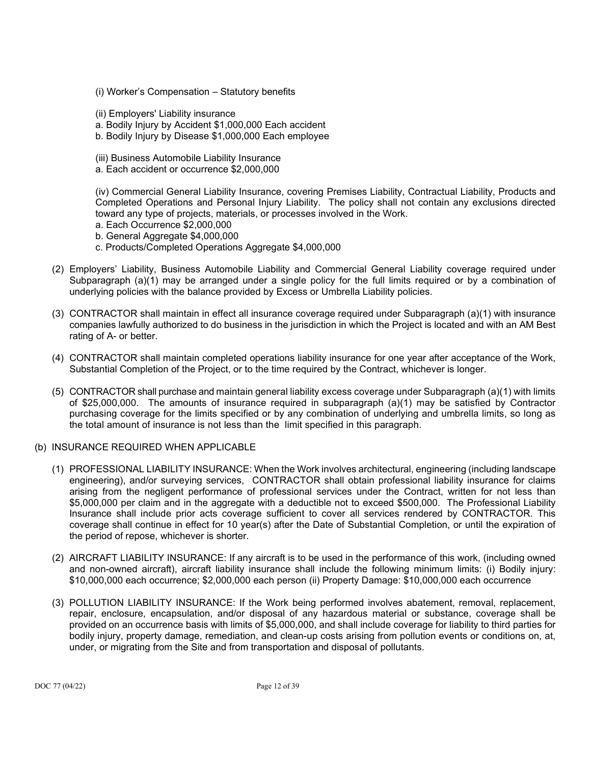- (i) Worker's Compensation Statutory benefits
- (ii) Employers' Liability insurance
- a. Bodily Injury by Accident \$1,000,000 Each accident
- b. Bodily Injury by Disease \$1,000,000 Each employee
- (iii) Business Automobile Liability Insurance
- a. Each accident or occurrence \$2,000,000

(iv) Commercial General Liability Insurance, covering Premises Liability, Contractual Liability, Products and Completed Operations and Personal Injury Liability. The policy shall not contain any exclusions directed toward any type of projects, materials, or processes involved in the Work.

- a. Each Occurrence \$2,000,000
- b. General Aggregate \$4,000,000
- c. Products/Completed Operations Aggregate \$4,000,000
- (2) Employers' Liability, Business Automobile Liability and Commercial General Liability coverage required under Subparagraph (a)(1) may be arranged under a single policy for the full limits required or by a combination of underlying policies with the balance provided by Excess or Umbrella Liability policies.
- (3) CONTRACTOR shall maintain in effect all insurance coverage required under Subparagraph (a)(1) with insurance companies lawfully authorized to do business in the jurisdiction in which the Project is located and with an AM Best rating of A- or better.
- (4) CONTRACTOR shall maintain completed operations liability insurance for one year after acceptance of the Work, Substantial Completion of the Project, or to the time required by the Contract, whichever is longer.
- (5) CONTRACTOR shall purchase and maintain general liability excess coverage under Subparagraph (a)(1) with limits of \$25,000,000. The amounts of insurance required in subparagraph (a)(1) may be satisfied by Contractor purchasing coverage for the limits specified or by any combination of underlying and umbrella limits, so long as the total amount of insurance is not less than the limit specified in this paragraph.
- (b) INSURANCE REQUIRED WHEN APPLICABLE
	- (1) PROFESSIONAL LIABILITY INSURANCE: When the Work involves architectural, engineering (including landscape engineering), and/or surveying services, CONTRACTOR shall obtain professional liability insurance for claims arising from the negligent performance of professional services under the Contract, written for not less than \$5,000,000 per claim and in the aggregate with a deductible not to exceed \$500,000. The Professional Liability Insurance shall include prior acts coverage sufficient to cover all services rendered by CONTRACTOR. This coverage shall continue in effect for 10 year(s) after the Date of Substantial Completion, or until the expiration of the period of repose, whichever is shorter.
	- (2) AIRCRAFT LIABILITY INSURANCE: If any aircraft is to be used in the performance of this work, (including owned and non-owned aircraft), aircraft liability insurance shall include the following minimum limits: (i) Bodily injury: \$10,000,000 each occurrence; \$2,000,000 each person (ii) Property Damage: \$10,000,000 each occurrence
	- (3) POLLUTION LIABILITY INSURANCE: If the Work being performed involves abatement, removal, replacement, repair, enclosure, encapsulation, and/or disposal of any hazardous material or substance, coverage shall be provided on an occurrence basis with limits of \$5,000,000, and shall include coverage for liability to third parties for bodily injury, property damage, remediation, and clean-up costs arising from pollution events or conditions on, at, under, or migrating from the Site and from transportation and disposal of pollutants.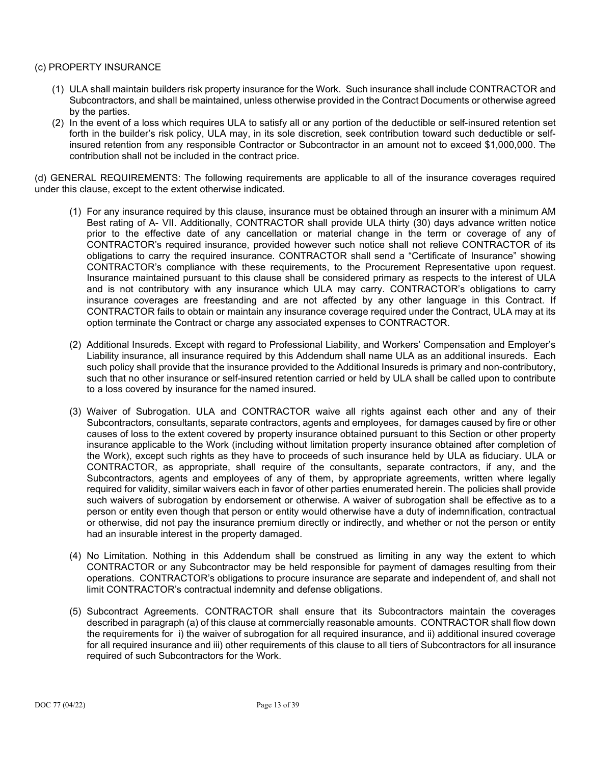# (c) PROPERTY INSURANCE

- (1) ULA shall maintain builders risk property insurance for the Work. Such insurance shall include CONTRACTOR and Subcontractors, and shall be maintained, unless otherwise provided in the Contract Documents or otherwise agreed by the parties.
- (2) In the event of a loss which requires ULA to satisfy all or any portion of the deductible or self-insured retention set forth in the builder's risk policy, ULA may, in its sole discretion, seek contribution toward such deductible or selfinsured retention from any responsible Contractor or Subcontractor in an amount not to exceed \$1,000,000. The contribution shall not be included in the contract price.

(d) GENERAL REQUIREMENTS: The following requirements are applicable to all of the insurance coverages required under this clause, except to the extent otherwise indicated.

- (1) For any insurance required by this clause, insurance must be obtained through an insurer with a minimum AM Best rating of A- VII. Additionally, CONTRACTOR shall provide ULA thirty (30) days advance written notice prior to the effective date of any cancellation or material change in the term or coverage of any of CONTRACTOR's required insurance, provided however such notice shall not relieve CONTRACTOR of its obligations to carry the required insurance. CONTRACTOR shall send a "Certificate of Insurance" showing CONTRACTOR's compliance with these requirements, to the Procurement Representative upon request. Insurance maintained pursuant to this clause shall be considered primary as respects to the interest of ULA and is not contributory with any insurance which ULA may carry. CONTRACTOR's obligations to carry insurance coverages are freestanding and are not affected by any other language in this Contract. If CONTRACTOR fails to obtain or maintain any insurance coverage required under the Contract, ULA may at its option terminate the Contract or charge any associated expenses to CONTRACTOR.
- (2) Additional Insureds. Except with regard to Professional Liability, and Workers' Compensation and Employer's Liability insurance, all insurance required by this Addendum shall name ULA as an additional insureds. Each such policy shall provide that the insurance provided to the Additional Insureds is primary and non-contributory, such that no other insurance or self-insured retention carried or held by ULA shall be called upon to contribute to a loss covered by insurance for the named insured.
- (3) Waiver of Subrogation. ULA and CONTRACTOR waive all rights against each other and any of their Subcontractors, consultants, separate contractors, agents and employees, for damages caused by fire or other causes of loss to the extent covered by property insurance obtained pursuant to this Section or other property insurance applicable to the Work (including without limitation property insurance obtained after completion of the Work), except such rights as they have to proceeds of such insurance held by ULA as fiduciary. ULA or CONTRACTOR, as appropriate, shall require of the consultants, separate contractors, if any, and the Subcontractors, agents and employees of any of them, by appropriate agreements, written where legally required for validity, similar waivers each in favor of other parties enumerated herein. The policies shall provide such waivers of subrogation by endorsement or otherwise. A waiver of subrogation shall be effective as to a person or entity even though that person or entity would otherwise have a duty of indemnification, contractual or otherwise, did not pay the insurance premium directly or indirectly, and whether or not the person or entity had an insurable interest in the property damaged.
- (4) No Limitation. Nothing in this Addendum shall be construed as limiting in any way the extent to which CONTRACTOR or any Subcontractor may be held responsible for payment of damages resulting from their operations. CONTRACTOR's obligations to procure insurance are separate and independent of, and shall not limit CONTRACTOR's contractual indemnity and defense obligations.
- (5) Subcontract Agreements. CONTRACTOR shall ensure that its Subcontractors maintain the coverages described in paragraph (a) of this clause at commercially reasonable amounts. CONTRACTOR shall flow down the requirements for i) the waiver of subrogation for all required insurance, and ii) additional insured coverage for all required insurance and iii) other requirements of this clause to all tiers of Subcontractors for all insurance required of such Subcontractors for the Work.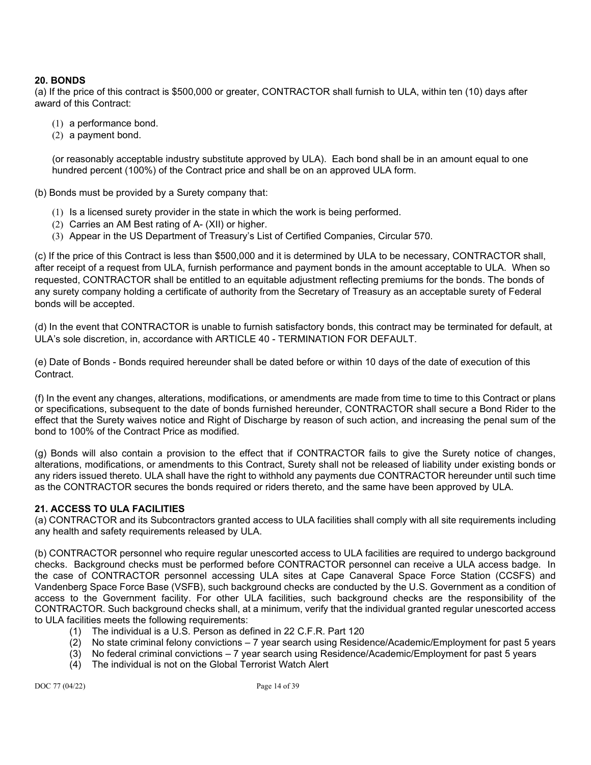# **20. BONDS**

(a) If the price of this contract is \$500,000 or greater, CONTRACTOR shall furnish to ULA, within ten (10) days after award of this Contract:

- (1) a performance bond.
- (2) a payment bond.

(or reasonably acceptable industry substitute approved by ULA). Each bond shall be in an amount equal to one hundred percent (100%) of the Contract price and shall be on an approved ULA form.

(b) Bonds must be provided by a Surety company that:

- (1) Is a licensed surety provider in the state in which the work is being performed.
- (2) Carries an AM Best rating of A- (XII) or higher.
- (3) Appear in the US Department of Treasury's List of Certified Companies, Circular 570.

(c) If the price of this Contract is less than \$500,000 and it is determined by ULA to be necessary, CONTRACTOR shall, after receipt of a request from ULA, furnish performance and payment bonds in the amount acceptable to ULA. When so requested, CONTRACTOR shall be entitled to an equitable adjustment reflecting premiums for the bonds. The bonds of any surety company holding a certificate of authority from the Secretary of Treasury as an acceptable surety of Federal bonds will be accepted.

(d) In the event that CONTRACTOR is unable to furnish satisfactory bonds, this contract may be terminated for default, at ULA's sole discretion, in, accordance with ARTICLE 40 - TERMINATION FOR DEFAULT.

(e) Date of Bonds - Bonds required hereunder shall be dated before or within 10 days of the date of execution of this Contract.

(f) In the event any changes, alterations, modifications, or amendments are made from time to time to this Contract or plans or specifications, subsequent to the date of bonds furnished hereunder, CONTRACTOR shall secure a Bond Rider to the effect that the Surety waives notice and Right of Discharge by reason of such action, and increasing the penal sum of the bond to 100% of the Contract Price as modified.

(g) Bonds will also contain a provision to the effect that if CONTRACTOR fails to give the Surety notice of changes, alterations, modifications, or amendments to this Contract, Surety shall not be released of liability under existing bonds or any riders issued thereto. ULA shall have the right to withhold any payments due CONTRACTOR hereunder until such time as the CONTRACTOR secures the bonds required or riders thereto, and the same have been approved by ULA.

#### **21. ACCESS TO ULA FACILITIES**

(a) CONTRACTOR and its Subcontractors granted access to ULA facilities shall comply with all site requirements including any health and safety requirements released by ULA.

(b) CONTRACTOR personnel who require regular unescorted access to ULA facilities are required to undergo background checks. Background checks must be performed before CONTRACTOR personnel can receive a ULA access badge. In the case of CONTRACTOR personnel accessing ULA sites at Cape Canaveral Space Force Station (CCSFS) and Vandenberg Space Force Base (VSFB), such background checks are conducted by the U.S. Government as a condition of access to the Government facility. For other ULA facilities, such background checks are the responsibility of the CONTRACTOR. Such background checks shall, at a minimum, verify that the individual granted regular unescorted access to ULA facilities meets the following requirements:

- (1) The individual is a U.S. Person as defined in 22 C.F.R. Part 120
- (2) No state criminal felony convictions 7 year search using Residence/Academic/Employment for past 5 years
- (3) No federal criminal convictions 7 year search using Residence/Academic/Employment for past 5 years
- (4) The individual is not on the Global Terrorist Watch Alert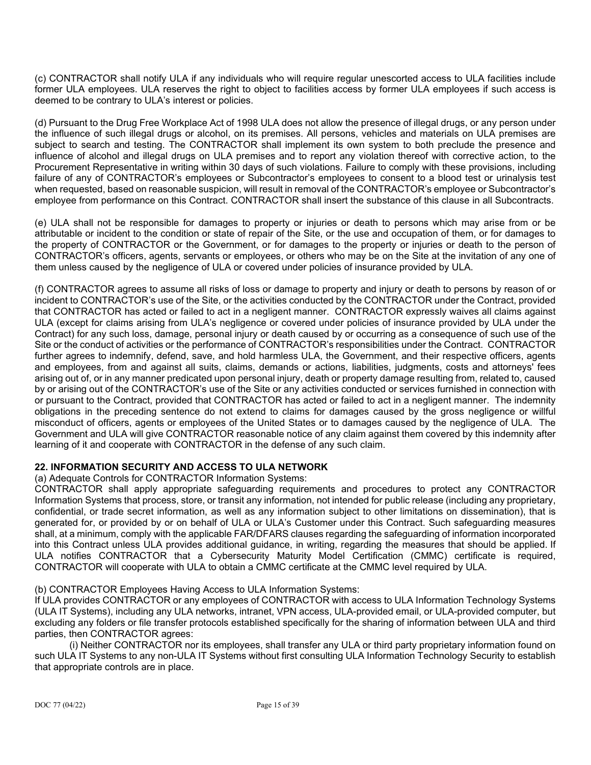(c) CONTRACTOR shall notify ULA if any individuals who will require regular unescorted access to ULA facilities include former ULA employees. ULA reserves the right to object to facilities access by former ULA employees if such access is deemed to be contrary to ULA's interest or policies.

(d) Pursuant to the Drug Free Workplace Act of 1998 ULA does not allow the presence of illegal drugs, or any person under the influence of such illegal drugs or alcohol, on its premises. All persons, vehicles and materials on ULA premises are subject to search and testing. The CONTRACTOR shall implement its own system to both preclude the presence and influence of alcohol and illegal drugs on ULA premises and to report any violation thereof with corrective action, to the Procurement Representative in writing within 30 days of such violations. Failure to comply with these provisions, including failure of any of CONTRACTOR's employees or Subcontractor's employees to consent to a blood test or urinalysis test when requested, based on reasonable suspicion, will result in removal of the CONTRACTOR's employee or Subcontractor's employee from performance on this Contract. CONTRACTOR shall insert the substance of this clause in all Subcontracts.

(e) ULA shall not be responsible for damages to property or injuries or death to persons which may arise from or be attributable or incident to the condition or state of repair of the Site, or the use and occupation of them, or for damages to the property of CONTRACTOR or the Government, or for damages to the property or injuries or death to the person of CONTRACTOR's officers, agents, servants or employees, or others who may be on the Site at the invitation of any one of them unless caused by the negligence of ULA or covered under policies of insurance provided by ULA.

(f) CONTRACTOR agrees to assume all risks of loss or damage to property and injury or death to persons by reason of or incident to CONTRACTOR's use of the Site, or the activities conducted by the CONTRACTOR under the Contract, provided that CONTRACTOR has acted or failed to act in a negligent manner. CONTRACTOR expressly waives all claims against ULA (except for claims arising from ULA's negligence or covered under policies of insurance provided by ULA under the Contract) for any such loss, damage, personal injury or death caused by or occurring as a consequence of such use of the Site or the conduct of activities or the performance of CONTRACTOR's responsibilities under the Contract. CONTRACTOR further agrees to indemnify, defend, save, and hold harmless ULA, the Government, and their respective officers, agents and employees, from and against all suits, claims, demands or actions, liabilities, judgments, costs and attorneys' fees arising out of, or in any manner predicated upon personal injury, death or property damage resulting from, related to, caused by or arising out of the CONTRACTOR's use of the Site or any activities conducted or services furnished in connection with or pursuant to the Contract, provided that CONTRACTOR has acted or failed to act in a negligent manner. The indemnity obligations in the preceding sentence do not extend to claims for damages caused by the gross negligence or willful misconduct of officers, agents or employees of the United States or to damages caused by the negligence of ULA. The Government and ULA will give CONTRACTOR reasonable notice of any claim against them covered by this indemnity after learning of it and cooperate with CONTRACTOR in the defense of any such claim.

# **22. INFORMATION SECURITY AND ACCESS TO ULA NETWORK**

(a) Adequate Controls for CONTRACTOR Information Systems:

CONTRACTOR shall apply appropriate safeguarding requirements and procedures to protect any CONTRACTOR Information Systems that process, store, or transit any information, not intended for public release (including any proprietary, confidential, or trade secret information, as well as any information subject to other limitations on dissemination), that is generated for, or provided by or on behalf of ULA or ULA's Customer under this Contract. Such safeguarding measures shall, at a minimum, comply with the applicable FAR/DFARS clauses regarding the safeguarding of information incorporated into this Contract unless ULA provides additional guidance, in writing, regarding the measures that should be applied. If ULA notifies CONTRACTOR that a Cybersecurity Maturity Model Certification (CMMC) certificate is required, CONTRACTOR will cooperate with ULA to obtain a CMMC certificate at the CMMC level required by ULA.

# (b) CONTRACTOR Employees Having Access to ULA Information Systems:

If ULA provides CONTRACTOR or any employees of CONTRACTOR with access to ULA Information Technology Systems (ULA IT Systems), including any ULA networks, intranet, VPN access, ULA-provided email, or ULA-provided computer, but excluding any folders or file transfer protocols established specifically for the sharing of information between ULA and third parties, then CONTRACTOR agrees:

(i) Neither CONTRACTOR nor its employees, shall transfer any ULA or third party proprietary information found on such ULA IT Systems to any non-ULA IT Systems without first consulting ULA Information Technology Security to establish that appropriate controls are in place.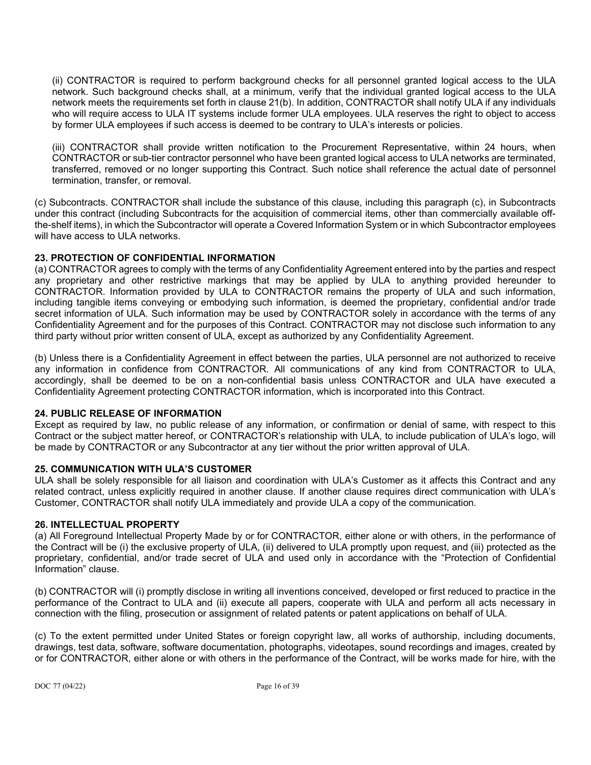(ii) CONTRACTOR is required to perform background checks for all personnel granted logical access to the ULA network. Such background checks shall, at a minimum, verify that the individual granted logical access to the ULA network meets the requirements set forth in clause 21(b). In addition, CONTRACTOR shall notify ULA if any individuals who will require access to ULA IT systems include former ULA employees. ULA reserves the right to object to access by former ULA employees if such access is deemed to be contrary to ULA's interests or policies.

(iii) CONTRACTOR shall provide written notification to the Procurement Representative, within 24 hours, when CONTRACTOR or sub-tier contractor personnel who have been granted logical access to ULA networks are terminated, transferred, removed or no longer supporting this Contract. Such notice shall reference the actual date of personnel termination, transfer, or removal.

(c) Subcontracts. CONTRACTOR shall include the substance of this clause, including this paragraph (c), in Subcontracts under this contract (including Subcontracts for the acquisition of commercial items, other than commercially available offthe-shelf items), in which the Subcontractor will operate a Covered Information System or in which Subcontractor employees will have access to ULA networks.

# **23. PROTECTION OF CONFIDENTIAL INFORMATION**

(a) CONTRACTOR agrees to comply with the terms of any Confidentiality Agreement entered into by the parties and respect any proprietary and other restrictive markings that may be applied by ULA to anything provided hereunder to CONTRACTOR. Information provided by ULA to CONTRACTOR remains the property of ULA and such information, including tangible items conveying or embodying such information, is deemed the proprietary, confidential and/or trade secret information of ULA. Such information may be used by CONTRACTOR solely in accordance with the terms of any Confidentiality Agreement and for the purposes of this Contract. CONTRACTOR may not disclose such information to any third party without prior written consent of ULA, except as authorized by any Confidentiality Agreement.

(b) Unless there is a Confidentiality Agreement in effect between the parties, ULA personnel are not authorized to receive any information in confidence from CONTRACTOR. All communications of any kind from CONTRACTOR to ULA, accordingly, shall be deemed to be on a non-confidential basis unless CONTRACTOR and ULA have executed a Confidentiality Agreement protecting CONTRACTOR information, which is incorporated into this Contract.

# **24. PUBLIC RELEASE OF INFORMATION**

Except as required by law, no public release of any information, or confirmation or denial of same, with respect to this Contract or the subject matter hereof, or CONTRACTOR's relationship with ULA, to include publication of ULA's logo, will be made by CONTRACTOR or any Subcontractor at any tier without the prior written approval of ULA.

# **25. COMMUNICATION WITH ULA'S CUSTOMER**

ULA shall be solely responsible for all liaison and coordination with ULA's Customer as it affects this Contract and any related contract, unless explicitly required in another clause. If another clause requires direct communication with ULA's Customer, CONTRACTOR shall notify ULA immediately and provide ULA a copy of the communication.

# **26. INTELLECTUAL PROPERTY**

(a) All Foreground Intellectual Property Made by or for CONTRACTOR, either alone or with others, in the performance of the Contract will be (i) the exclusive property of ULA, (ii) delivered to ULA promptly upon request, and (iii) protected as the proprietary, confidential, and/or trade secret of ULA and used only in accordance with the "Protection of Confidential Information" clause.

(b) CONTRACTOR will (i) promptly disclose in writing all inventions conceived, developed or first reduced to practice in the performance of the Contract to ULA and (ii) execute all papers, cooperate with ULA and perform all acts necessary in connection with the filing, prosecution or assignment of related patents or patent applications on behalf of ULA.

(c) To the extent permitted under United States or foreign copyright law, all works of authorship, including documents, drawings, test data, software, software documentation, photographs, videotapes, sound recordings and images, created by or for CONTRACTOR, either alone or with others in the performance of the Contract, will be works made for hire, with the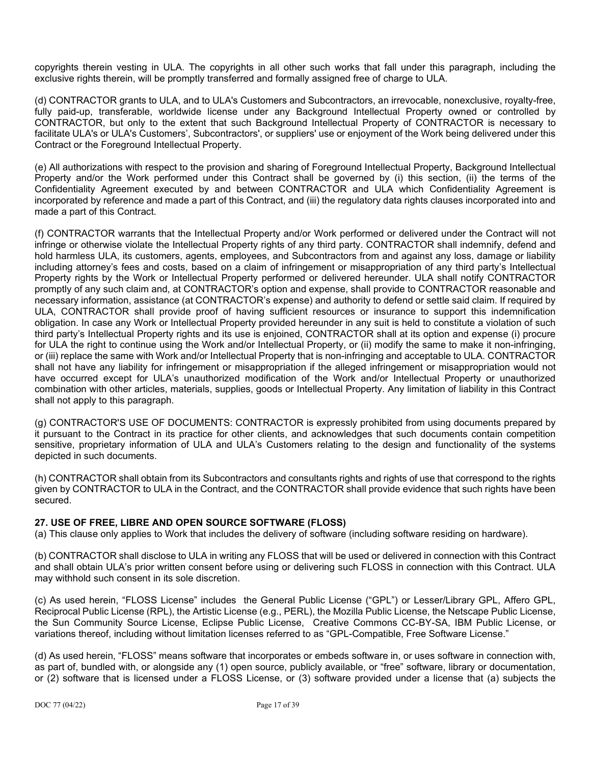copyrights therein vesting in ULA. The copyrights in all other such works that fall under this paragraph, including the exclusive rights therein, will be promptly transferred and formally assigned free of charge to ULA.

(d) CONTRACTOR grants to ULA, and to ULA's Customers and Subcontractors, an irrevocable, nonexclusive, royalty-free, fully paid-up, transferable, worldwide license under any Background Intellectual Property owned or controlled by CONTRACTOR, but only to the extent that such Background Intellectual Property of CONTRACTOR is necessary to facilitate ULA's or ULA's Customers', Subcontractors', or suppliers' use or enjoyment of the Work being delivered under this Contract or the Foreground Intellectual Property.

(e) All authorizations with respect to the provision and sharing of Foreground Intellectual Property, Background Intellectual Property and/or the Work performed under this Contract shall be governed by (i) this section, (ii) the terms of the Confidentiality Agreement executed by and between CONTRACTOR and ULA which Confidentiality Agreement is incorporated by reference and made a part of this Contract, and (iii) the regulatory data rights clauses incorporated into and made a part of this Contract.

(f) CONTRACTOR warrants that the Intellectual Property and/or Work performed or delivered under the Contract will not infringe or otherwise violate the Intellectual Property rights of any third party. CONTRACTOR shall indemnify, defend and hold harmless ULA, its customers, agents, employees, and Subcontractors from and against any loss, damage or liability including attorney's fees and costs, based on a claim of infringement or misappropriation of any third party's Intellectual Property rights by the Work or Intellectual Property performed or delivered hereunder. ULA shall notify CONTRACTOR promptly of any such claim and, at CONTRACTOR's option and expense, shall provide to CONTRACTOR reasonable and necessary information, assistance (at CONTRACTOR's expense) and authority to defend or settle said claim. If required by ULA, CONTRACTOR shall provide proof of having sufficient resources or insurance to support this indemnification obligation. In case any Work or Intellectual Property provided hereunder in any suit is held to constitute a violation of such third party's Intellectual Property rights and its use is enjoined, CONTRACTOR shall at its option and expense (i) procure for ULA the right to continue using the Work and/or Intellectual Property, or (ii) modify the same to make it non-infringing, or (iii) replace the same with Work and/or Intellectual Property that is non-infringing and acceptable to ULA. CONTRACTOR shall not have any liability for infringement or misappropriation if the alleged infringement or misappropriation would not have occurred except for ULA's unauthorized modification of the Work and/or Intellectual Property or unauthorized combination with other articles, materials, supplies, goods or Intellectual Property. Any limitation of liability in this Contract shall not apply to this paragraph.

(g) CONTRACTOR'S USE OF DOCUMENTS: CONTRACTOR is expressly prohibited from using documents prepared by it pursuant to the Contract in its practice for other clients, and acknowledges that such documents contain competition sensitive, proprietary information of ULA and ULA's Customers relating to the design and functionality of the systems depicted in such documents.

(h) CONTRACTOR shall obtain from its Subcontractors and consultants rights and rights of use that correspond to the rights given by CONTRACTOR to ULA in the Contract, and the CONTRACTOR shall provide evidence that such rights have been secured.

# **27. USE OF FREE, LIBRE AND OPEN SOURCE SOFTWARE (FLOSS)**

(a) This clause only applies to Work that includes the delivery of software (including software residing on hardware).

(b) CONTRACTOR shall disclose to ULA in writing any FLOSS that will be used or delivered in connection with this Contract and shall obtain ULA's prior written consent before using or delivering such FLOSS in connection with this Contract. ULA may withhold such consent in its sole discretion.

(c) As used herein, "FLOSS License" includes the General Public License ("GPL") or Lesser/Library GPL, Affero GPL, Reciprocal Public License (RPL), the Artistic License (e.g., PERL), the Mozilla Public License, the Netscape Public License, the Sun Community Source License, Eclipse Public License, Creative Commons CC-BY-SA, IBM Public License, or variations thereof, including without limitation licenses referred to as "GPL-Compatible, Free Software License."

(d) As used herein, "FLOSS" means software that incorporates or embeds software in, or uses software in connection with, as part of, bundled with, or alongside any (1) open source, publicly available, or "free" software, library or documentation, or (2) software that is licensed under a FLOSS License, or (3) software provided under a license that (a) subjects the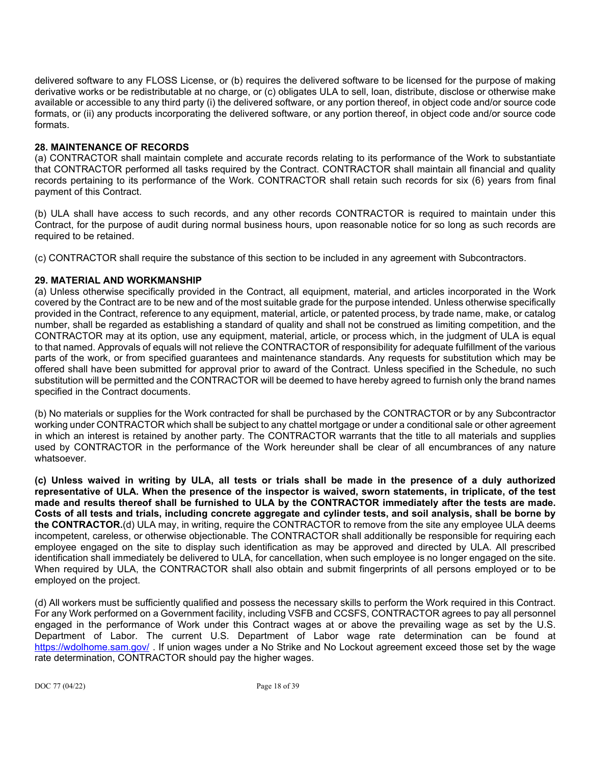delivered software to any FLOSS License, or (b) requires the delivered software to be licensed for the purpose of making derivative works or be redistributable at no charge, or (c) obligates ULA to sell, loan, distribute, disclose or otherwise make available or accessible to any third party (i) the delivered software, or any portion thereof, in object code and/or source code formats, or (ii) any products incorporating the delivered software, or any portion thereof, in object code and/or source code formats.

### **28. MAINTENANCE OF RECORDS**

(a) CONTRACTOR shall maintain complete and accurate records relating to its performance of the Work to substantiate that CONTRACTOR performed all tasks required by the Contract. CONTRACTOR shall maintain all financial and quality records pertaining to its performance of the Work. CONTRACTOR shall retain such records for six (6) years from final payment of this Contract.

(b) ULA shall have access to such records, and any other records CONTRACTOR is required to maintain under this Contract, for the purpose of audit during normal business hours, upon reasonable notice for so long as such records are required to be retained.

(c) CONTRACTOR shall require the substance of this section to be included in any agreement with Subcontractors.

# **29. MATERIAL AND WORKMANSHIP**

(a) Unless otherwise specifically provided in the Contract, all equipment, material, and articles incorporated in the Work covered by the Contract are to be new and of the most suitable grade for the purpose intended. Unless otherwise specifically provided in the Contract, reference to any equipment, material, article, or patented process, by trade name, make, or catalog number, shall be regarded as establishing a standard of quality and shall not be construed as limiting competition, and the CONTRACTOR may at its option, use any equipment, material, article, or process which, in the judgment of ULA is equal to that named. Approvals of equals will not relieve the CONTRACTOR of responsibility for adequate fulfillment of the various parts of the work, or from specified guarantees and maintenance standards. Any requests for substitution which may be offered shall have been submitted for approval prior to award of the Contract. Unless specified in the Schedule, no such substitution will be permitted and the CONTRACTOR will be deemed to have hereby agreed to furnish only the brand names specified in the Contract documents.

(b) No materials or supplies for the Work contracted for shall be purchased by the CONTRACTOR or by any Subcontractor working under CONTRACTOR which shall be subject to any chattel mortgage or under a conditional sale or other agreement in which an interest is retained by another party. The CONTRACTOR warrants that the title to all materials and supplies used by CONTRACTOR in the performance of the Work hereunder shall be clear of all encumbrances of any nature whatsoever.

**(c) Unless waived in writing by ULA, all tests or trials shall be made in the presence of a duly authorized representative of ULA. When the presence of the inspector is waived, sworn statements, in triplicate, of the test made and results thereof shall be furnished to ULA by the CONTRACTOR immediately after the tests are made. Costs of all tests and trials, including concrete aggregate and cylinder tests, and soil analysis, shall be borne by the CONTRACTOR.**(d) ULA may, in writing, require the CONTRACTOR to remove from the site any employee ULA deems incompetent, careless, or otherwise objectionable. The CONTRACTOR shall additionally be responsible for requiring each employee engaged on the site to display such identification as may be approved and directed by ULA. All prescribed identification shall immediately be delivered to ULA, for cancellation, when such employee is no longer engaged on the site. When required by ULA, the CONTRACTOR shall also obtain and submit fingerprints of all persons employed or to be employed on the project.

(d) All workers must be sufficiently qualified and possess the necessary skills to perform the Work required in this Contract. For any Work performed on a Government facility, including VSFB and CCSFS, CONTRACTOR agrees to pay all personnel engaged in the performance of Work under this Contract wages at or above the prevailing wage as set by the U.S. Department of Labor. The current U.S. Department of Labor wage rate determination can be found at <https://wdolhome.sam.gov/> . If union wages under a No Strike and No Lockout agreement exceed those set by the wage rate determination, CONTRACTOR should pay the higher wages.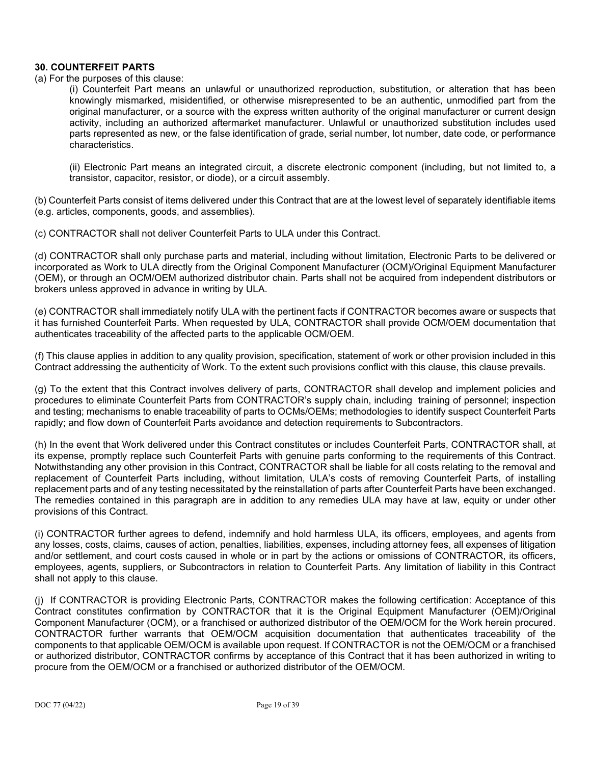### **30. COUNTERFEIT PARTS**

#### (a) For the purposes of this clause:

(i) Counterfeit Part means an unlawful or unauthorized reproduction, substitution, or alteration that has been knowingly mismarked, misidentified, or otherwise misrepresented to be an authentic, unmodified part from the original manufacturer, or a source with the express written authority of the original manufacturer or current design activity, including an authorized aftermarket manufacturer. Unlawful or unauthorized substitution includes used parts represented as new, or the false identification of grade, serial number, lot number, date code, or performance characteristics.

(ii) Electronic Part means an integrated circuit, a discrete electronic component (including, but not limited to, a transistor, capacitor, resistor, or diode), or a circuit assembly.

(b) Counterfeit Parts consist of items delivered under this Contract that are at the lowest level of separately identifiable items (e.g. articles, components, goods, and assemblies).

(c) CONTRACTOR shall not deliver Counterfeit Parts to ULA under this Contract.

(d) CONTRACTOR shall only purchase parts and material, including without limitation, Electronic Parts to be delivered or incorporated as Work to ULA directly from the Original Component Manufacturer (OCM)/Original Equipment Manufacturer (OEM), or through an OCM/OEM authorized distributor chain. Parts shall not be acquired from independent distributors or brokers unless approved in advance in writing by ULA.

(e) CONTRACTOR shall immediately notify ULA with the pertinent facts if CONTRACTOR becomes aware or suspects that it has furnished Counterfeit Parts. When requested by ULA, CONTRACTOR shall provide OCM/OEM documentation that authenticates traceability of the affected parts to the applicable OCM/OEM.

(f) This clause applies in addition to any quality provision, specification, statement of work or other provision included in this Contract addressing the authenticity of Work. To the extent such provisions conflict with this clause, this clause prevails.

(g) To the extent that this Contract involves delivery of parts, CONTRACTOR shall develop and implement policies and procedures to eliminate Counterfeit Parts from CONTRACTOR's supply chain, including training of personnel; inspection and testing; mechanisms to enable traceability of parts to OCMs/OEMs; methodologies to identify suspect Counterfeit Parts rapidly; and flow down of Counterfeit Parts avoidance and detection requirements to Subcontractors.

(h) In the event that Work delivered under this Contract constitutes or includes Counterfeit Parts, CONTRACTOR shall, at its expense, promptly replace such Counterfeit Parts with genuine parts conforming to the requirements of this Contract. Notwithstanding any other provision in this Contract, CONTRACTOR shall be liable for all costs relating to the removal and replacement of Counterfeit Parts including, without limitation, ULA's costs of removing Counterfeit Parts, of installing replacement parts and of any testing necessitated by the reinstallation of parts after Counterfeit Parts have been exchanged. The remedies contained in this paragraph are in addition to any remedies ULA may have at law, equity or under other provisions of this Contract.

(i) CONTRACTOR further agrees to defend, indemnify and hold harmless ULA, its officers, employees, and agents from any losses, costs, claims, causes of action, penalties, liabilities, expenses, including attorney fees, all expenses of litigation and/or settlement, and court costs caused in whole or in part by the actions or omissions of CONTRACTOR, its officers, employees, agents, suppliers, or Subcontractors in relation to Counterfeit Parts. Any limitation of liability in this Contract shall not apply to this clause.

(j) If CONTRACTOR is providing Electronic Parts, CONTRACTOR makes the following certification: Acceptance of this Contract constitutes confirmation by CONTRACTOR that it is the Original Equipment Manufacturer (OEM)/Original Component Manufacturer (OCM), or a franchised or authorized distributor of the OEM/OCM for the Work herein procured. CONTRACTOR further warrants that OEM/OCM acquisition documentation that authenticates traceability of the components to that applicable OEM/OCM is available upon request. If CONTRACTOR is not the OEM/OCM or a franchised or authorized distributor, CONTRACTOR confirms by acceptance of this Contract that it has been authorized in writing to procure from the OEM/OCM or a franchised or authorized distributor of the OEM/OCM.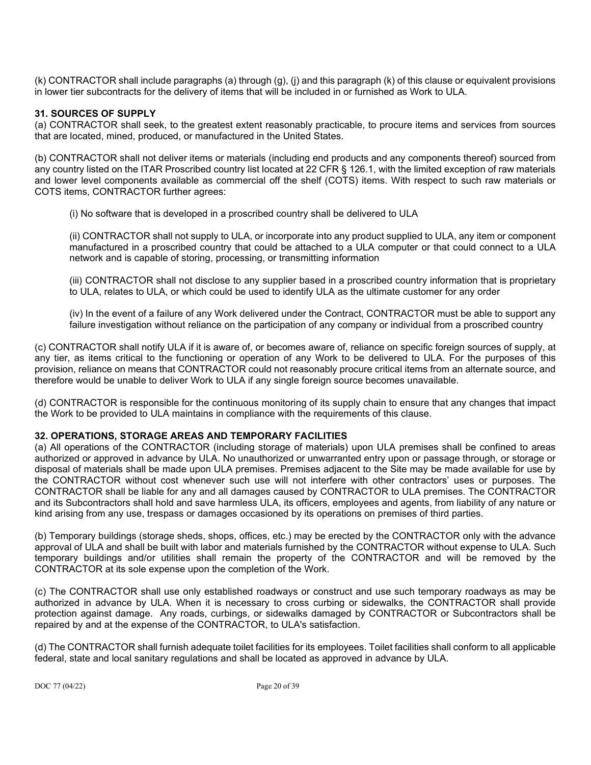(k) CONTRACTOR shall include paragraphs (a) through (g), (j) and this paragraph (k) of this clause or equivalent provisions in lower tier subcontracts for the delivery of items that will be included in or furnished as Work to ULA.

### **31. SOURCES OF SUPPLY**

(a) CONTRACTOR shall seek, to the greatest extent reasonably practicable, to procure items and services from sources that are located, mined, produced, or manufactured in the United States.

(b) CONTRACTOR shall not deliver items or materials (including end products and any components thereof) sourced from any country listed on the ITAR Proscribed country list located at 22 CFR § 126.1, with the limited exception of raw materials and lower level components available as commercial off the shelf (COTS) items. With respect to such raw materials or COTS items, CONTRACTOR further agrees:

(i) No software that is developed in a proscribed country shall be delivered to ULA

(ii) CONTRACTOR shall not supply to ULA, or incorporate into any product supplied to ULA, any item or component manufactured in a proscribed country that could be attached to a ULA computer or that could connect to a ULA network and is capable of storing, processing, or transmitting information

(iii) CONTRACTOR shall not disclose to any supplier based in a proscribed country information that is proprietary to ULA, relates to ULA, or which could be used to identify ULA as the ultimate customer for any order

(iv) In the event of a failure of any Work delivered under the Contract, CONTRACTOR must be able to support any failure investigation without reliance on the participation of any company or individual from a proscribed country

(c) CONTRACTOR shall notify ULA if it is aware of, or becomes aware of, reliance on specific foreign sources of supply, at any tier, as items critical to the functioning or operation of any Work to be delivered to ULA. For the purposes of this provision, reliance on means that CONTRACTOR could not reasonably procure critical items from an alternate source, and therefore would be unable to deliver Work to ULA if any single foreign source becomes unavailable.

(d) CONTRACTOR is responsible for the continuous monitoring of its supply chain to ensure that any changes that impact the Work to be provided to ULA maintains in compliance with the requirements of this clause.

# **32. OPERATIONS, STORAGE AREAS AND TEMPORARY FACILITIES**

(a) All operations of the CONTRACTOR (including storage of materials) upon ULA premises shall be confined to areas authorized or approved in advance by ULA. No unauthorized or unwarranted entry upon or passage through, or storage or disposal of materials shall be made upon ULA premises. Premises adjacent to the Site may be made available for use by the CONTRACTOR without cost whenever such use will not interfere with other contractors' uses or purposes. The CONTRACTOR shall be liable for any and all damages caused by CONTRACTOR to ULA premises. The CONTRACTOR and its Subcontractors shall hold and save harmless ULA, its officers, employees and agents, from liability of any nature or kind arising from any use, trespass or damages occasioned by its operations on premises of third parties.

(b) Temporary buildings (storage sheds, shops, offices, etc.) may be erected by the CONTRACTOR only with the advance approval of ULA and shall be built with labor and materials furnished by the CONTRACTOR without expense to ULA. Such temporary buildings and/or utilities shall remain the property of the CONTRACTOR and will be removed by the CONTRACTOR at its sole expense upon the completion of the Work.

(c) The CONTRACTOR shall use only established roadways or construct and use such temporary roadways as may be authorized in advance by ULA. When it is necessary to cross curbing or sidewalks, the CONTRACTOR shall provide protection against damage. Any roads, curbings, or sidewalks damaged by CONTRACTOR or Subcontractors shall be repaired by and at the expense of the CONTRACTOR, to ULA's satisfaction.

(d) The CONTRACTOR shall furnish adequate toilet facilities for its employees. Toilet facilities shall conform to all applicable federal, state and local sanitary regulations and shall be located as approved in advance by ULA.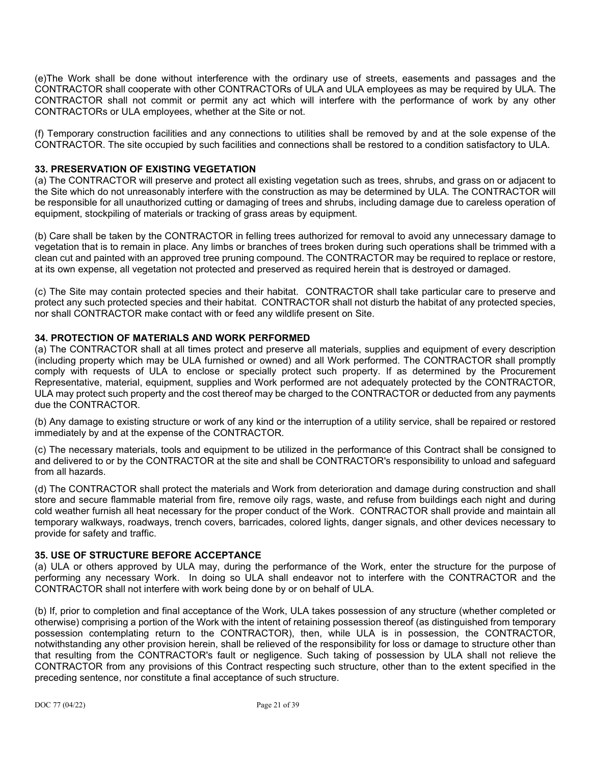(e)The Work shall be done without interference with the ordinary use of streets, easements and passages and the CONTRACTOR shall cooperate with other CONTRACTORs of ULA and ULA employees as may be required by ULA. The CONTRACTOR shall not commit or permit any act which will interfere with the performance of work by any other CONTRACTORs or ULA employees, whether at the Site or not.

(f) Temporary construction facilities and any connections to utilities shall be removed by and at the sole expense of the CONTRACTOR. The site occupied by such facilities and connections shall be restored to a condition satisfactory to ULA.

### **33. PRESERVATION OF EXISTING VEGETATION**

(a) The CONTRACTOR will preserve and protect all existing vegetation such as trees, shrubs, and grass on or adjacent to the Site which do not unreasonably interfere with the construction as may be determined by ULA. The CONTRACTOR will be responsible for all unauthorized cutting or damaging of trees and shrubs, including damage due to careless operation of equipment, stockpiling of materials or tracking of grass areas by equipment.

(b) Care shall be taken by the CONTRACTOR in felling trees authorized for removal to avoid any unnecessary damage to vegetation that is to remain in place. Any limbs or branches of trees broken during such operations shall be trimmed with a clean cut and painted with an approved tree pruning compound. The CONTRACTOR may be required to replace or restore, at its own expense, all vegetation not protected and preserved as required herein that is destroyed or damaged.

(c) The Site may contain protected species and their habitat. CONTRACTOR shall take particular care to preserve and protect any such protected species and their habitat. CONTRACTOR shall not disturb the habitat of any protected species, nor shall CONTRACTOR make contact with or feed any wildlife present on Site.

# **34. PROTECTION OF MATERIALS AND WORK PERFORMED**

(a) The CONTRACTOR shall at all times protect and preserve all materials, supplies and equipment of every description (including property which may be ULA furnished or owned) and all Work performed. The CONTRACTOR shall promptly comply with requests of ULA to enclose or specially protect such property. If as determined by the Procurement Representative, material, equipment, supplies and Work performed are not adequately protected by the CONTRACTOR, ULA may protect such property and the cost thereof may be charged to the CONTRACTOR or deducted from any payments due the CONTRACTOR.

(b) Any damage to existing structure or work of any kind or the interruption of a utility service, shall be repaired or restored immediately by and at the expense of the CONTRACTOR.

(c) The necessary materials, tools and equipment to be utilized in the performance of this Contract shall be consigned to and delivered to or by the CONTRACTOR at the site and shall be CONTRACTOR's responsibility to unload and safeguard from all hazards.

(d) The CONTRACTOR shall protect the materials and Work from deterioration and damage during construction and shall store and secure flammable material from fire, remove oily rags, waste, and refuse from buildings each night and during cold weather furnish all heat necessary for the proper conduct of the Work. CONTRACTOR shall provide and maintain all temporary walkways, roadways, trench covers, barricades, colored lights, danger signals, and other devices necessary to provide for safety and traffic.

# **35. USE OF STRUCTURE BEFORE ACCEPTANCE**

(a) ULA or others approved by ULA may, during the performance of the Work, enter the structure for the purpose of performing any necessary Work. In doing so ULA shall endeavor not to interfere with the CONTRACTOR and the CONTRACTOR shall not interfere with work being done by or on behalf of ULA.

(b) If, prior to completion and final acceptance of the Work, ULA takes possession of any structure (whether completed or otherwise) comprising a portion of the Work with the intent of retaining possession thereof (as distinguished from temporary possession contemplating return to the CONTRACTOR), then, while ULA is in possession, the CONTRACTOR, notwithstanding any other provision herein, shall be relieved of the responsibility for loss or damage to structure other than that resulting from the CONTRACTOR's fault or negligence. Such taking of possession by ULA shall not relieve the CONTRACTOR from any provisions of this Contract respecting such structure, other than to the extent specified in the preceding sentence, nor constitute a final acceptance of such structure.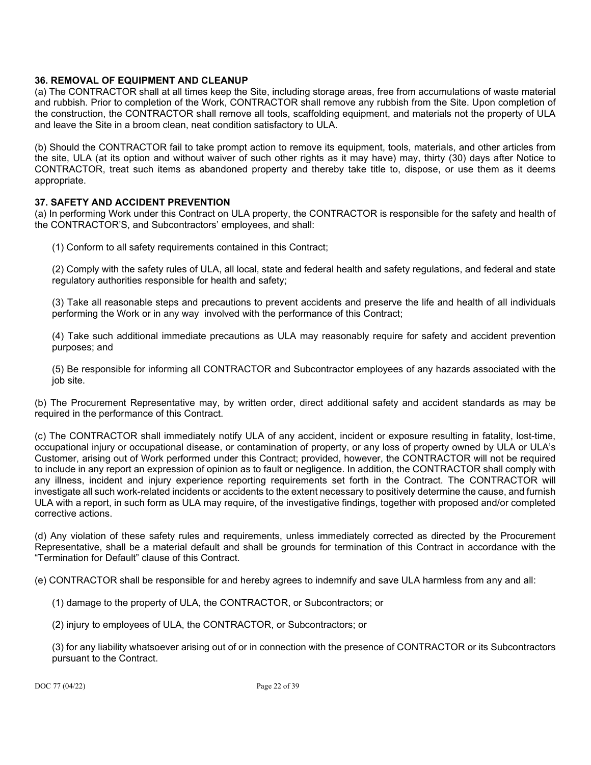### **36. REMOVAL OF EQUIPMENT AND CLEANUP**

(a) The CONTRACTOR shall at all times keep the Site, including storage areas, free from accumulations of waste material and rubbish. Prior to completion of the Work, CONTRACTOR shall remove any rubbish from the Site. Upon completion of the construction, the CONTRACTOR shall remove all tools, scaffolding equipment, and materials not the property of ULA and leave the Site in a broom clean, neat condition satisfactory to ULA.

(b) Should the CONTRACTOR fail to take prompt action to remove its equipment, tools, materials, and other articles from the site, ULA (at its option and without waiver of such other rights as it may have) may, thirty (30) days after Notice to CONTRACTOR, treat such items as abandoned property and thereby take title to, dispose, or use them as it deems appropriate.

### **37. SAFETY AND ACCIDENT PREVENTION**

(a) In performing Work under this Contract on ULA property, the CONTRACTOR is responsible for the safety and health of the CONTRACTOR'S, and Subcontractors' employees, and shall:

(1) Conform to all safety requirements contained in this Contract;

(2) Comply with the safety rules of ULA, all local, state and federal health and safety regulations, and federal and state regulatory authorities responsible for health and safety;

(3) Take all reasonable steps and precautions to prevent accidents and preserve the life and health of all individuals performing the Work or in any way involved with the performance of this Contract;

(4) Take such additional immediate precautions as ULA may reasonably require for safety and accident prevention purposes; and

(5) Be responsible for informing all CONTRACTOR and Subcontractor employees of any hazards associated with the job site.

(b) The Procurement Representative may, by written order, direct additional safety and accident standards as may be required in the performance of this Contract.

(c) The CONTRACTOR shall immediately notify ULA of any accident, incident or exposure resulting in fatality, lost-time, occupational injury or occupational disease, or contamination of property, or any loss of property owned by ULA or ULA's Customer, arising out of Work performed under this Contract; provided, however, the CONTRACTOR will not be required to include in any report an expression of opinion as to fault or negligence. In addition, the CONTRACTOR shall comply with any illness, incident and injury experience reporting requirements set forth in the Contract. The CONTRACTOR will investigate all such work-related incidents or accidents to the extent necessary to positively determine the cause, and furnish ULA with a report, in such form as ULA may require, of the investigative findings, together with proposed and/or completed corrective actions.

(d) Any violation of these safety rules and requirements, unless immediately corrected as directed by the Procurement Representative, shall be a material default and shall be grounds for termination of this Contract in accordance with the "Termination for Default" clause of this Contract.

(e) CONTRACTOR shall be responsible for and hereby agrees to indemnify and save ULA harmless from any and all:

- (1) damage to the property of ULA, the CONTRACTOR, or Subcontractors; or
- (2) injury to employees of ULA, the CONTRACTOR, or Subcontractors; or

(3) for any liability whatsoever arising out of or in connection with the presence of CONTRACTOR or its Subcontractors pursuant to the Contract.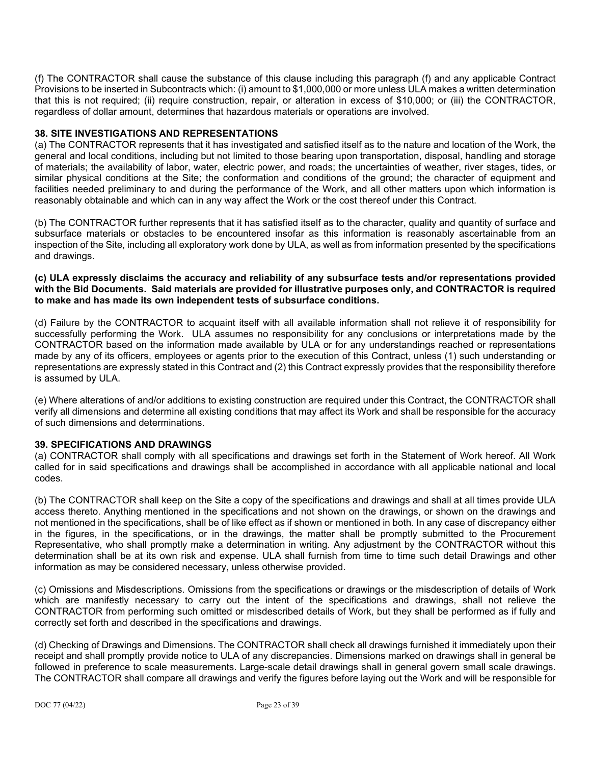(f) The CONTRACTOR shall cause the substance of this clause including this paragraph (f) and any applicable Contract Provisions to be inserted in Subcontracts which: (i) amount to \$1,000,000 or more unless ULA makes a written determination that this is not required; (ii) require construction, repair, or alteration in excess of \$10,000; or (iii) the CONTRACTOR, regardless of dollar amount, determines that hazardous materials or operations are involved.

### **38. SITE INVESTIGATIONS AND REPRESENTATIONS**

(a) The CONTRACTOR represents that it has investigated and satisfied itself as to the nature and location of the Work, the general and local conditions, including but not limited to those bearing upon transportation, disposal, handling and storage of materials; the availability of labor, water, electric power, and roads; the uncertainties of weather, river stages, tides, or similar physical conditions at the Site; the conformation and conditions of the ground; the character of equipment and facilities needed preliminary to and during the performance of the Work, and all other matters upon which information is reasonably obtainable and which can in any way affect the Work or the cost thereof under this Contract.

(b) The CONTRACTOR further represents that it has satisfied itself as to the character, quality and quantity of surface and subsurface materials or obstacles to be encountered insofar as this information is reasonably ascertainable from an inspection of the Site, including all exploratory work done by ULA, as well as from information presented by the specifications and drawings.

#### **(c) ULA expressly disclaims the accuracy and reliability of any subsurface tests and/or representations provided with the Bid Documents. Said materials are provided for illustrative purposes only, and CONTRACTOR is required to make and has made its own independent tests of subsurface conditions.**

(d) Failure by the CONTRACTOR to acquaint itself with all available information shall not relieve it of responsibility for successfully performing the Work. ULA assumes no responsibility for any conclusions or interpretations made by the CONTRACTOR based on the information made available by ULA or for any understandings reached or representations made by any of its officers, employees or agents prior to the execution of this Contract, unless (1) such understanding or representations are expressly stated in this Contract and (2) this Contract expressly provides that the responsibility therefore is assumed by ULA.

(e) Where alterations of and/or additions to existing construction are required under this Contract, the CONTRACTOR shall verify all dimensions and determine all existing conditions that may affect its Work and shall be responsible for the accuracy of such dimensions and determinations.

#### **39. SPECIFICATIONS AND DRAWINGS**

(a) CONTRACTOR shall comply with all specifications and drawings set forth in the Statement of Work hereof. All Work called for in said specifications and drawings shall be accomplished in accordance with all applicable national and local codes.

(b) The CONTRACTOR shall keep on the Site a copy of the specifications and drawings and shall at all times provide ULA access thereto. Anything mentioned in the specifications and not shown on the drawings, or shown on the drawings and not mentioned in the specifications, shall be of like effect as if shown or mentioned in both. In any case of discrepancy either in the figures, in the specifications, or in the drawings, the matter shall be promptly submitted to the Procurement Representative, who shall promptly make a determination in writing. Any adjustment by the CONTRACTOR without this determination shall be at its own risk and expense. ULA shall furnish from time to time such detail Drawings and other information as may be considered necessary, unless otherwise provided.

(c) Omissions and Misdescriptions. Omissions from the specifications or drawings or the misdescription of details of Work which are manifestly necessary to carry out the intent of the specifications and drawings, shall not relieve the CONTRACTOR from performing such omitted or misdescribed details of Work, but they shall be performed as if fully and correctly set forth and described in the specifications and drawings.

(d) Checking of Drawings and Dimensions. The CONTRACTOR shall check all drawings furnished it immediately upon their receipt and shall promptly provide notice to ULA of any discrepancies. Dimensions marked on drawings shall in general be followed in preference to scale measurements. Large-scale detail drawings shall in general govern small scale drawings. The CONTRACTOR shall compare all drawings and verify the figures before laying out the Work and will be responsible for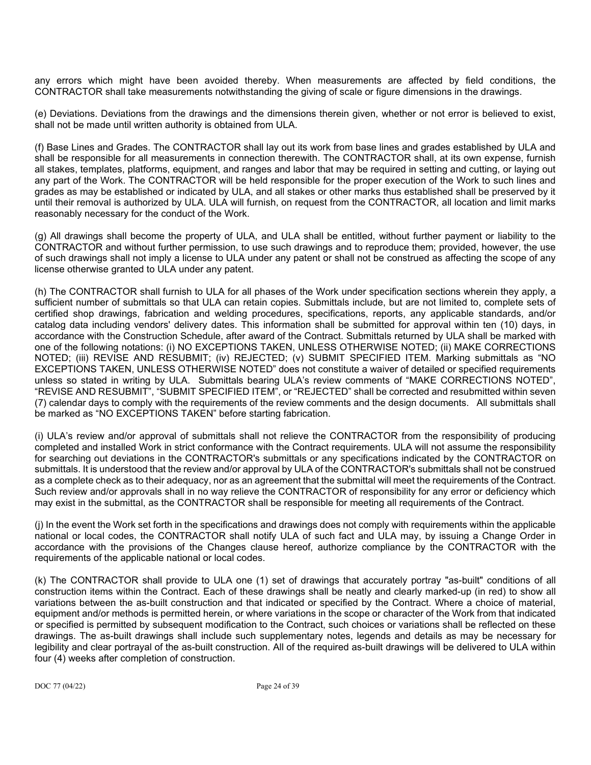any errors which might have been avoided thereby. When measurements are affected by field conditions, the CONTRACTOR shall take measurements notwithstanding the giving of scale or figure dimensions in the drawings.

(e) Deviations. Deviations from the drawings and the dimensions therein given, whether or not error is believed to exist, shall not be made until written authority is obtained from ULA.

(f) Base Lines and Grades. The CONTRACTOR shall lay out its work from base lines and grades established by ULA and shall be responsible for all measurements in connection therewith. The CONTRACTOR shall, at its own expense, furnish all stakes, templates, platforms, equipment, and ranges and labor that may be required in setting and cutting, or laying out any part of the Work. The CONTRACTOR will be held responsible for the proper execution of the Work to such lines and grades as may be established or indicated by ULA, and all stakes or other marks thus established shall be preserved by it until their removal is authorized by ULA. ULA will furnish, on request from the CONTRACTOR, all location and limit marks reasonably necessary for the conduct of the Work.

(g) All drawings shall become the property of ULA, and ULA shall be entitled, without further payment or liability to the CONTRACTOR and without further permission, to use such drawings and to reproduce them; provided, however, the use of such drawings shall not imply a license to ULA under any patent or shall not be construed as affecting the scope of any license otherwise granted to ULA under any patent.

(h) The CONTRACTOR shall furnish to ULA for all phases of the Work under specification sections wherein they apply, a sufficient number of submittals so that ULA can retain copies. Submittals include, but are not limited to, complete sets of certified shop drawings, fabrication and welding procedures, specifications, reports, any applicable standards, and/or catalog data including vendors' delivery dates. This information shall be submitted for approval within ten (10) days, in accordance with the Construction Schedule, after award of the Contract. Submittals returned by ULA shall be marked with one of the following notations: (i) NO EXCEPTIONS TAKEN, UNLESS OTHERWISE NOTED; (ii) MAKE CORRECTIONS NOTED; (iii) REVISE AND RESUBMIT; (iv) REJECTED; (v) SUBMIT SPECIFIED ITEM. Marking submittals as "NO EXCEPTIONS TAKEN, UNLESS OTHERWISE NOTED" does not constitute a waiver of detailed or specified requirements unless so stated in writing by ULA. Submittals bearing ULA's review comments of "MAKE CORRECTIONS NOTED", "REVISE AND RESUBMIT", "SUBMIT SPECIFIED ITEM", or "REJECTED" shall be corrected and resubmitted within seven (7) calendar days to comply with the requirements of the review comments and the design documents. All submittals shall be marked as "NO EXCEPTIONS TAKEN" before starting fabrication.

(i) ULA's review and/or approval of submittals shall not relieve the CONTRACTOR from the responsibility of producing completed and installed Work in strict conformance with the Contract requirements. ULA will not assume the responsibility for searching out deviations in the CONTRACTOR's submittals or any specifications indicated by the CONTRACTOR on submittals. It is understood that the review and/or approval by ULA of the CONTRACTOR's submittals shall not be construed as a complete check as to their adequacy, nor as an agreement that the submittal will meet the requirements of the Contract. Such review and/or approvals shall in no way relieve the CONTRACTOR of responsibility for any error or deficiency which may exist in the submittal, as the CONTRACTOR shall be responsible for meeting all requirements of the Contract.

(j) In the event the Work set forth in the specifications and drawings does not comply with requirements within the applicable national or local codes, the CONTRACTOR shall notify ULA of such fact and ULA may, by issuing a Change Order in accordance with the provisions of the Changes clause hereof, authorize compliance by the CONTRACTOR with the requirements of the applicable national or local codes.

(k) The CONTRACTOR shall provide to ULA one (1) set of drawings that accurately portray "as-built" conditions of all construction items within the Contract. Each of these drawings shall be neatly and clearly marked-up (in red) to show all variations between the as-built construction and that indicated or specified by the Contract. Where a choice of material, equipment and/or methods is permitted herein, or where variations in the scope or character of the Work from that indicated or specified is permitted by subsequent modification to the Contract, such choices or variations shall be reflected on these drawings. The as-built drawings shall include such supplementary notes, legends and details as may be necessary for legibility and clear portrayal of the as-built construction. All of the required as-built drawings will be delivered to ULA within four (4) weeks after completion of construction.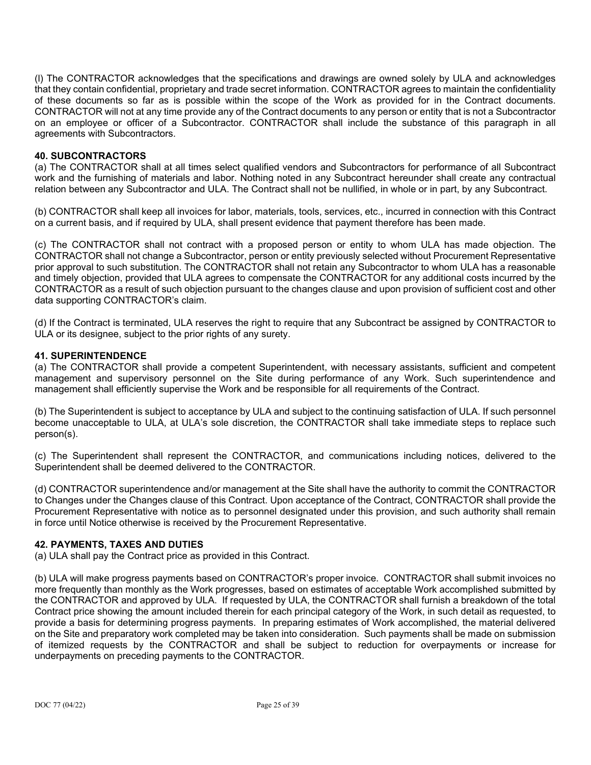(l) The CONTRACTOR acknowledges that the specifications and drawings are owned solely by ULA and acknowledges that they contain confidential, proprietary and trade secret information. CONTRACTOR agrees to maintain the confidentiality of these documents so far as is possible within the scope of the Work as provided for in the Contract documents. CONTRACTOR will not at any time provide any of the Contract documents to any person or entity that is not a Subcontractor on an employee or officer of a Subcontractor. CONTRACTOR shall include the substance of this paragraph in all agreements with Subcontractors.

#### **40. SUBCONTRACTORS**

(a) The CONTRACTOR shall at all times select qualified vendors and Subcontractors for performance of all Subcontract work and the furnishing of materials and labor. Nothing noted in any Subcontract hereunder shall create any contractual relation between any Subcontractor and ULA. The Contract shall not be nullified, in whole or in part, by any Subcontract.

(b) CONTRACTOR shall keep all invoices for labor, materials, tools, services, etc., incurred in connection with this Contract on a current basis, and if required by ULA, shall present evidence that payment therefore has been made.

(c) The CONTRACTOR shall not contract with a proposed person or entity to whom ULA has made objection. The CONTRACTOR shall not change a Subcontractor, person or entity previously selected without Procurement Representative prior approval to such substitution. The CONTRACTOR shall not retain any Subcontractor to whom ULA has a reasonable and timely objection, provided that ULA agrees to compensate the CONTRACTOR for any additional costs incurred by the CONTRACTOR as a result of such objection pursuant to the changes clause and upon provision of sufficient cost and other data supporting CONTRACTOR's claim.

(d) If the Contract is terminated, ULA reserves the right to require that any Subcontract be assigned by CONTRACTOR to ULA or its designee, subject to the prior rights of any surety.

#### **41. SUPERINTENDENCE**

(a) The CONTRACTOR shall provide a competent Superintendent, with necessary assistants, sufficient and competent management and supervisory personnel on the Site during performance of any Work. Such superintendence and management shall efficiently supervise the Work and be responsible for all requirements of the Contract.

(b) The Superintendent is subject to acceptance by ULA and subject to the continuing satisfaction of ULA. If such personnel become unacceptable to ULA, at ULA's sole discretion, the CONTRACTOR shall take immediate steps to replace such person(s).

(c) The Superintendent shall represent the CONTRACTOR, and communications including notices, delivered to the Superintendent shall be deemed delivered to the CONTRACTOR.

(d) CONTRACTOR superintendence and/or management at the Site shall have the authority to commit the CONTRACTOR to Changes under the Changes clause of this Contract. Upon acceptance of the Contract, CONTRACTOR shall provide the Procurement Representative with notice as to personnel designated under this provision, and such authority shall remain in force until Notice otherwise is received by the Procurement Representative.

#### **42. PAYMENTS, TAXES AND DUTIES**

(a) ULA shall pay the Contract price as provided in this Contract.

(b) ULA will make progress payments based on CONTRACTOR's proper invoice. CONTRACTOR shall submit invoices no more frequently than monthly as the Work progresses, based on estimates of acceptable Work accomplished submitted by the CONTRACTOR and approved by ULA. If requested by ULA, the CONTRACTOR shall furnish a breakdown of the total Contract price showing the amount included therein for each principal category of the Work, in such detail as requested, to provide a basis for determining progress payments. In preparing estimates of Work accomplished, the material delivered on the Site and preparatory work completed may be taken into consideration. Such payments shall be made on submission of itemized requests by the CONTRACTOR and shall be subject to reduction for overpayments or increase for underpayments on preceding payments to the CONTRACTOR.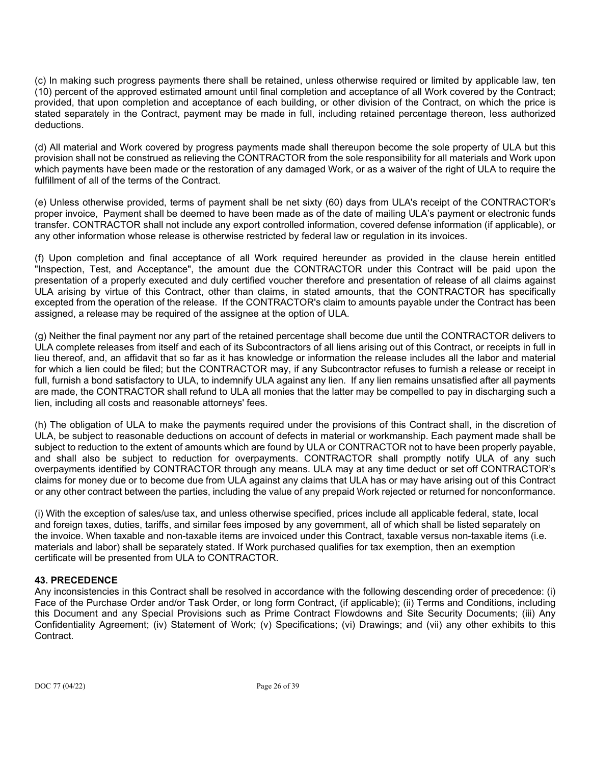(c) In making such progress payments there shall be retained, unless otherwise required or limited by applicable law, ten (10) percent of the approved estimated amount until final completion and acceptance of all Work covered by the Contract; provided, that upon completion and acceptance of each building, or other division of the Contract, on which the price is stated separately in the Contract, payment may be made in full, including retained percentage thereon, less authorized deductions.

(d) All material and Work covered by progress payments made shall thereupon become the sole property of ULA but this provision shall not be construed as relieving the CONTRACTOR from the sole responsibility for all materials and Work upon which payments have been made or the restoration of any damaged Work, or as a waiver of the right of ULA to require the fulfillment of all of the terms of the Contract.

(e) Unless otherwise provided, terms of payment shall be net sixty (60) days from ULA's receipt of the CONTRACTOR's proper invoice, Payment shall be deemed to have been made as of the date of mailing ULA's payment or electronic funds transfer. CONTRACTOR shall not include any export controlled information, covered defense information (if applicable), or any other information whose release is otherwise restricted by federal law or regulation in its invoices.

(f) Upon completion and final acceptance of all Work required hereunder as provided in the clause herein entitled "Inspection, Test, and Acceptance", the amount due the CONTRACTOR under this Contract will be paid upon the presentation of a properly executed and duly certified voucher therefore and presentation of release of all claims against ULA arising by virtue of this Contract, other than claims, in stated amounts, that the CONTRACTOR has specifically excepted from the operation of the release. If the CONTRACTOR's claim to amounts payable under the Contract has been assigned, a release may be required of the assignee at the option of ULA.

(g) Neither the final payment nor any part of the retained percentage shall become due until the CONTRACTOR delivers to ULA complete releases from itself and each of its Subcontractors of all liens arising out of this Contract, or receipts in full in lieu thereof, and, an affidavit that so far as it has knowledge or information the release includes all the labor and material for which a lien could be filed; but the CONTRACTOR may, if any Subcontractor refuses to furnish a release or receipt in full, furnish a bond satisfactory to ULA, to indemnify ULA against any lien. If any lien remains unsatisfied after all payments are made, the CONTRACTOR shall refund to ULA all monies that the latter may be compelled to pay in discharging such a lien, including all costs and reasonable attorneys' fees.

(h) The obligation of ULA to make the payments required under the provisions of this Contract shall, in the discretion of ULA, be subject to reasonable deductions on account of defects in material or workmanship. Each payment made shall be subject to reduction to the extent of amounts which are found by ULA or CONTRACTOR not to have been properly payable, and shall also be subject to reduction for overpayments. CONTRACTOR shall promptly notify ULA of any such overpayments identified by CONTRACTOR through any means. ULA may at any time deduct or set off CONTRACTOR's claims for money due or to become due from ULA against any claims that ULA has or may have arising out of this Contract or any other contract between the parties, including the value of any prepaid Work rejected or returned for nonconformance.

(i) With the exception of sales/use tax, and unless otherwise specified, prices include all applicable federal, state, local and foreign taxes, duties, tariffs, and similar fees imposed by any government, all of which shall be listed separately on the invoice. When taxable and non-taxable items are invoiced under this Contract, taxable versus non-taxable items (i.e. materials and labor) shall be separately stated. If Work purchased qualifies for tax exemption, then an exemption certificate will be presented from ULA to CONTRACTOR.

# **43. PRECEDENCE**

Any inconsistencies in this Contract shall be resolved in accordance with the following descending order of precedence: (i) Face of the Purchase Order and/or Task Order, or long form Contract, (if applicable); (ii) Terms and Conditions, including this Document and any Special Provisions such as Prime Contract Flowdowns and Site Security Documents; (iii) Any Confidentiality Agreement; (iv) Statement of Work; (v) Specifications; (vi) Drawings; and (vii) any other exhibits to this **Contract**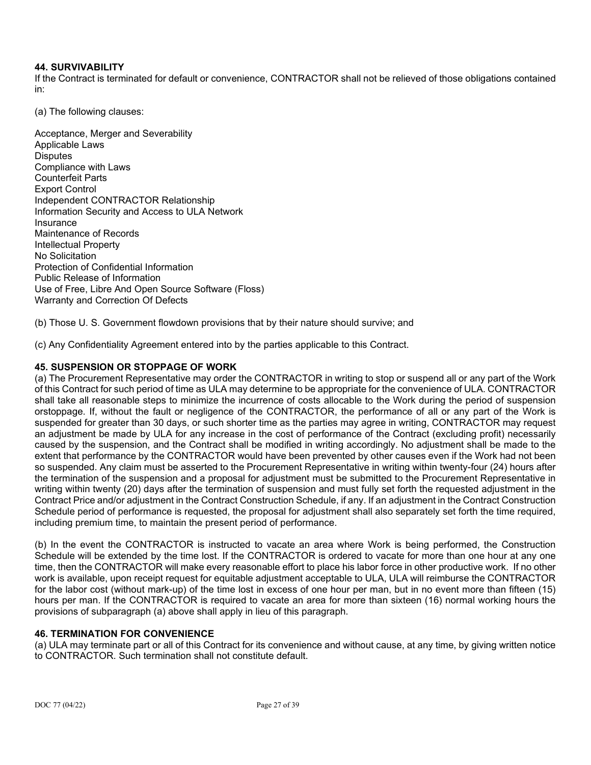# **44. SURVIVABILITY**

If the Contract is terminated for default or convenience, CONTRACTOR shall not be relieved of those obligations contained in:

(a) The following clauses:

Acceptance, Merger and Severability Applicable Laws **Disputes** Compliance with Laws Counterfeit Parts Export Control Independent CONTRACTOR Relationship Information Security and Access to ULA Network Insurance Maintenance of Records Intellectual Property No Solicitation Protection of Confidential Information Public Release of Information Use of Free, Libre And Open Source Software (Floss) Warranty and Correction Of Defects

(b) Those U. S. Government flowdown provisions that by their nature should survive; and

(c) Any Confidentiality Agreement entered into by the parties applicable to this Contract.

### **45. SUSPENSION OR STOPPAGE OF WORK**

(a) The Procurement Representative may order the CONTRACTOR in writing to stop or suspend all or any part of the Work of this Contract for such period of time as ULA may determine to be appropriate for the convenience of ULA. CONTRACTOR shall take all reasonable steps to minimize the incurrence of costs allocable to the Work during the period of suspension orstoppage. If, without the fault or negligence of the CONTRACTOR, the performance of all or any part of the Work is suspended for greater than 30 days, or such shorter time as the parties may agree in writing, CONTRACTOR may request an adjustment be made by ULA for any increase in the cost of performance of the Contract (excluding profit) necessarily caused by the suspension, and the Contract shall be modified in writing accordingly. No adjustment shall be made to the extent that performance by the CONTRACTOR would have been prevented by other causes even if the Work had not been so suspended. Any claim must be asserted to the Procurement Representative in writing within twenty-four (24) hours after the termination of the suspension and a proposal for adjustment must be submitted to the Procurement Representative in writing within twenty (20) days after the termination of suspension and must fully set forth the requested adjustment in the Contract Price and/or adjustment in the Contract Construction Schedule, if any. If an adjustment in the Contract Construction Schedule period of performance is requested, the proposal for adjustment shall also separately set forth the time required, including premium time, to maintain the present period of performance.

(b) In the event the CONTRACTOR is instructed to vacate an area where Work is being performed, the Construction Schedule will be extended by the time lost. If the CONTRACTOR is ordered to vacate for more than one hour at any one time, then the CONTRACTOR will make every reasonable effort to place his labor force in other productive work. If no other work is available, upon receipt request for equitable adjustment acceptable to ULA, ULA will reimburse the CONTRACTOR for the labor cost (without mark-up) of the time lost in excess of one hour per man, but in no event more than fifteen (15) hours per man. If the CONTRACTOR is required to vacate an area for more than sixteen (16) normal working hours the provisions of subparagraph (a) above shall apply in lieu of this paragraph.

# **46. TERMINATION FOR CONVENIENCE**

(a) ULA may terminate part or all of this Contract for its convenience and without cause, at any time, by giving written notice to CONTRACTOR. Such termination shall not constitute default.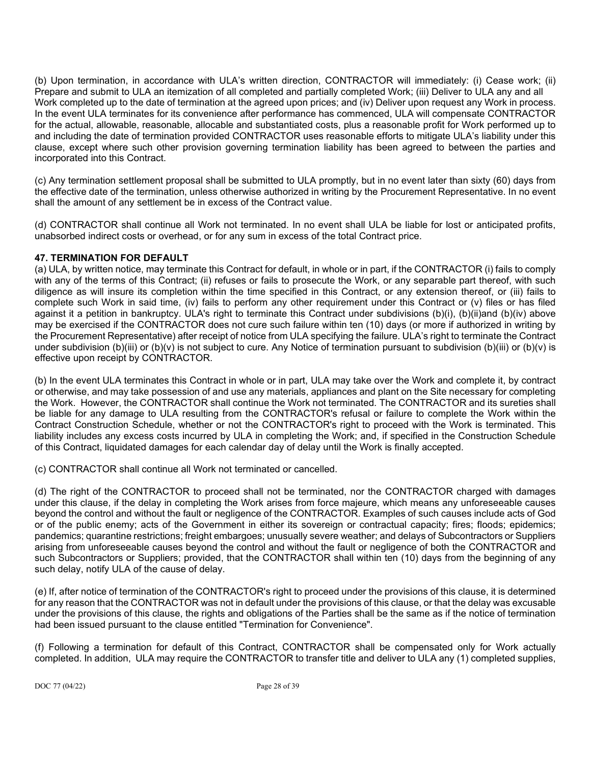(b) Upon termination, in accordance with ULA's written direction, CONTRACTOR will immediately: (i) Cease work; (ii) Prepare and submit to ULA an itemization of all completed and partially completed Work; (iii) Deliver to ULA any and all Work completed up to the date of termination at the agreed upon prices; and (iv) Deliver upon request any Work in process. In the event ULA terminates for its convenience after performance has commenced, ULA will compensate CONTRACTOR for the actual, allowable, reasonable, allocable and substantiated costs, plus a reasonable profit for Work performed up to and including the date of termination provided CONTRACTOR uses reasonable efforts to mitigate ULA's liability under this clause, except where such other provision governing termination liability has been agreed to between the parties and incorporated into this Contract.

(c) Any termination settlement proposal shall be submitted to ULA promptly, but in no event later than sixty (60) days from the effective date of the termination, unless otherwise authorized in writing by the Procurement Representative. In no event shall the amount of any settlement be in excess of the Contract value.

(d) CONTRACTOR shall continue all Work not terminated. In no event shall ULA be liable for lost or anticipated profits, unabsorbed indirect costs or overhead, or for any sum in excess of the total Contract price.

# **47. TERMINATION FOR DEFAULT**

(a) ULA, by written notice, may terminate this Contract for default, in whole or in part, if the CONTRACTOR (i) fails to comply with any of the terms of this Contract; (ii) refuses or fails to prosecute the Work, or any separable part thereof, with such diligence as will insure its completion within the time specified in this Contract, or any extension thereof, or (iii) fails to complete such Work in said time, (iv) fails to perform any other requirement under this Contract or (v) files or has filed against it a petition in bankruptcy. ULA's right to terminate this Contract under subdivisions (b)(i), (b)(ii)and (b)(iv) above may be exercised if the CONTRACTOR does not cure such failure within ten (10) days (or more if authorized in writing by the Procurement Representative) after receipt of notice from ULA specifying the failure. ULA's right to terminate the Contract under subdivision (b)(iii) or (b)(v) is not subject to cure. Any Notice of termination pursuant to subdivision (b)(iii) or (b)(v) is effective upon receipt by CONTRACTOR.

(b) In the event ULA terminates this Contract in whole or in part, ULA may take over the Work and complete it, by contract or otherwise, and may take possession of and use any materials, appliances and plant on the Site necessary for completing the Work. However, the CONTRACTOR shall continue the Work not terminated. The CONTRACTOR and its sureties shall be liable for any damage to ULA resulting from the CONTRACTOR's refusal or failure to complete the Work within the Contract Construction Schedule, whether or not the CONTRACTOR's right to proceed with the Work is terminated. This liability includes any excess costs incurred by ULA in completing the Work; and, if specified in the Construction Schedule of this Contract, liquidated damages for each calendar day of delay until the Work is finally accepted.

(c) CONTRACTOR shall continue all Work not terminated or cancelled.

(d) The right of the CONTRACTOR to proceed shall not be terminated, nor the CONTRACTOR charged with damages under this clause, if the delay in completing the Work arises from force majeure, which means any unforeseeable causes beyond the control and without the fault or negligence of the CONTRACTOR. Examples of such causes include acts of God or of the public enemy; acts of the Government in either its sovereign or contractual capacity; fires; floods; epidemics; pandemics; quarantine restrictions; freight embargoes; unusually severe weather; and delays of Subcontractors or Suppliers arising from unforeseeable causes beyond the control and without the fault or negligence of both the CONTRACTOR and such Subcontractors or Suppliers; provided, that the CONTRACTOR shall within ten (10) days from the beginning of any such delay, notify ULA of the cause of delay.

(e) If, after notice of termination of the CONTRACTOR's right to proceed under the provisions of this clause, it is determined for any reason that the CONTRACTOR was not in default under the provisions of this clause, or that the delay was excusable under the provisions of this clause, the rights and obligations of the Parties shall be the same as if the notice of termination had been issued pursuant to the clause entitled "Termination for Convenience".

(f) Following a termination for default of this Contract, CONTRACTOR shall be compensated only for Work actually completed. In addition, ULA may require the CONTRACTOR to transfer title and deliver to ULA any (1) completed supplies,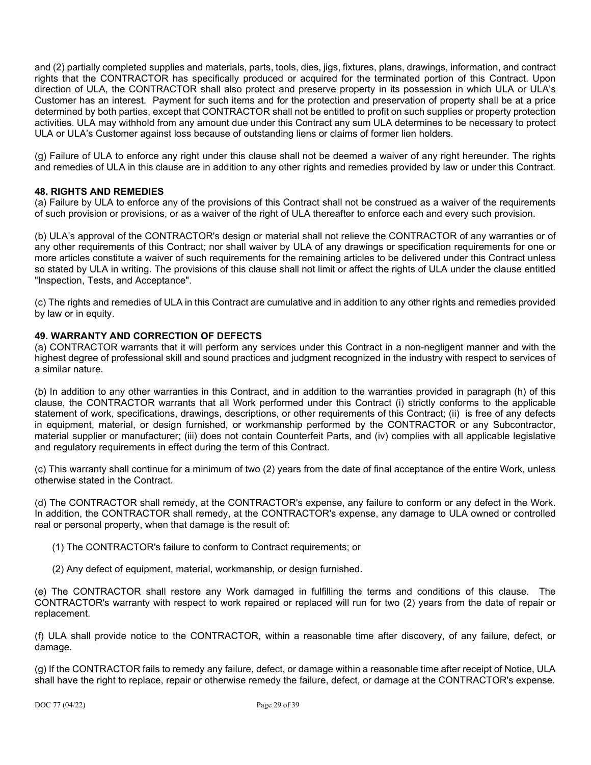and (2) partially completed supplies and materials, parts, tools, dies, jigs, fixtures, plans, drawings, information, and contract rights that the CONTRACTOR has specifically produced or acquired for the terminated portion of this Contract. Upon direction of ULA, the CONTRACTOR shall also protect and preserve property in its possession in which ULA or ULA's Customer has an interest. Payment for such items and for the protection and preservation of property shall be at a price determined by both parties, except that CONTRACTOR shall not be entitled to profit on such supplies or property protection activities. ULA may withhold from any amount due under this Contract any sum ULA determines to be necessary to protect ULA or ULA's Customer against loss because of outstanding liens or claims of former lien holders.

(g) Failure of ULA to enforce any right under this clause shall not be deemed a waiver of any right hereunder. The rights and remedies of ULA in this clause are in addition to any other rights and remedies provided by law or under this Contract.

# **48. RIGHTS AND REMEDIES**

(a) Failure by ULA to enforce any of the provisions of this Contract shall not be construed as a waiver of the requirements of such provision or provisions, or as a waiver of the right of ULA thereafter to enforce each and every such provision.

(b) ULA's approval of the CONTRACTOR's design or material shall not relieve the CONTRACTOR of any warranties or of any other requirements of this Contract; nor shall waiver by ULA of any drawings or specification requirements for one or more articles constitute a waiver of such requirements for the remaining articles to be delivered under this Contract unless so stated by ULA in writing. The provisions of this clause shall not limit or affect the rights of ULA under the clause entitled "Inspection, Tests, and Acceptance".

(c) The rights and remedies of ULA in this Contract are cumulative and in addition to any other rights and remedies provided by law or in equity.

### **49. WARRANTY AND CORRECTION OF DEFECTS**

(a) CONTRACTOR warrants that it will perform any services under this Contract in a non-negligent manner and with the highest degree of professional skill and sound practices and judgment recognized in the industry with respect to services of a similar nature.

(b) In addition to any other warranties in this Contract, and in addition to the warranties provided in paragraph (h) of this clause, the CONTRACTOR warrants that all Work performed under this Contract (i) strictly conforms to the applicable statement of work, specifications, drawings, descriptions, or other requirements of this Contract; (ii) is free of any defects in equipment, material, or design furnished, or workmanship performed by the CONTRACTOR or any Subcontractor, material supplier or manufacturer; (iii) does not contain Counterfeit Parts, and (iv) complies with all applicable legislative and regulatory requirements in effect during the term of this Contract.

(c) This warranty shall continue for a minimum of two (2) years from the date of final acceptance of the entire Work, unless otherwise stated in the Contract.

(d) The CONTRACTOR shall remedy, at the CONTRACTOR's expense, any failure to conform or any defect in the Work. In addition, the CONTRACTOR shall remedy, at the CONTRACTOR's expense, any damage to ULA owned or controlled real or personal property, when that damage is the result of:

- (1) The CONTRACTOR's failure to conform to Contract requirements; or
- (2) Any defect of equipment, material, workmanship, or design furnished.

(e) The CONTRACTOR shall restore any Work damaged in fulfilling the terms and conditions of this clause. The CONTRACTOR's warranty with respect to work repaired or replaced will run for two (2) years from the date of repair or replacement.

(f) ULA shall provide notice to the CONTRACTOR, within a reasonable time after discovery, of any failure, defect, or damage.

(g) If the CONTRACTOR fails to remedy any failure, defect, or damage within a reasonable time after receipt of Notice, ULA shall have the right to replace, repair or otherwise remedy the failure, defect, or damage at the CONTRACTOR's expense.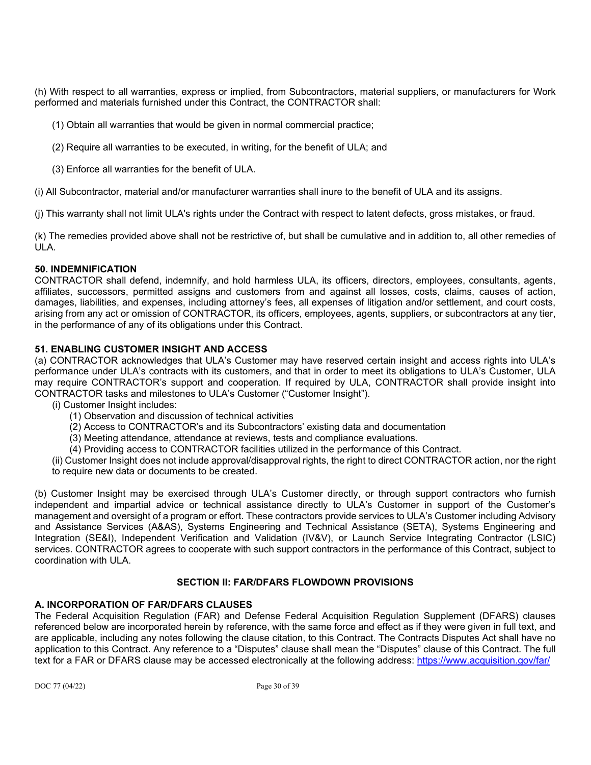(h) With respect to all warranties, express or implied, from Subcontractors, material suppliers, or manufacturers for Work performed and materials furnished under this Contract, the CONTRACTOR shall:

- (1) Obtain all warranties that would be given in normal commercial practice;
- (2) Require all warranties to be executed, in writing, for the benefit of ULA; and
- (3) Enforce all warranties for the benefit of ULA.

(i) All Subcontractor, material and/or manufacturer warranties shall inure to the benefit of ULA and its assigns.

(j) This warranty shall not limit ULA's rights under the Contract with respect to latent defects, gross mistakes, or fraud.

(k) The remedies provided above shall not be restrictive of, but shall be cumulative and in addition to, all other remedies of ULA.

# **50. INDEMNIFICATION**

CONTRACTOR shall defend, indemnify, and hold harmless ULA, its officers, directors, employees, consultants, agents, affiliates, successors, permitted assigns and customers from and against all losses, costs, claims, causes of action, damages, liabilities, and expenses, including attorney's fees, all expenses of litigation and/or settlement, and court costs, arising from any act or omission of CONTRACTOR, its officers, employees, agents, suppliers, or subcontractors at any tier, in the performance of any of its obligations under this Contract.

# **51. ENABLING CUSTOMER INSIGHT AND ACCESS**

(a) CONTRACTOR acknowledges that ULA's Customer may have reserved certain insight and access rights into ULA's performance under ULA's contracts with its customers, and that in order to meet its obligations to ULA's Customer, ULA may require CONTRACTOR's support and cooperation. If required by ULA, CONTRACTOR shall provide insight into CONTRACTOR tasks and milestones to ULA's Customer ("Customer Insight").

- (i) Customer Insight includes:
	- (1) Observation and discussion of technical activities
	- (2) Access to CONTRACTOR's and its Subcontractors' existing data and documentation
	- (3) Meeting attendance, attendance at reviews, tests and compliance evaluations.
	- (4) Providing access to CONTRACTOR facilities utilized in the performance of this Contract.

(ii) Customer Insight does not include approval/disapproval rights, the right to direct CONTRACTOR action, nor the right to require new data or documents to be created.

(b) Customer Insight may be exercised through ULA's Customer directly, or through support contractors who furnish independent and impartial advice or technical assistance directly to ULA's Customer in support of the Customer's management and oversight of a program or effort. These contractors provide services to ULA's Customer including Advisory and Assistance Services (A&AS), Systems Engineering and Technical Assistance (SETA), Systems Engineering and Integration (SE&I), Independent Verification and Validation (IV&V), or Launch Service Integrating Contractor (LSIC) services. CONTRACTOR agrees to cooperate with such support contractors in the performance of this Contract, subject to coordination with ULA.

# **SECTION II: FAR/DFARS FLOWDOWN PROVISIONS**

# **A. INCORPORATION OF FAR/DFARS CLAUSES**

The Federal Acquisition Regulation (FAR) and Defense Federal Acquisition Regulation Supplement (DFARS) clauses referenced below are incorporated herein by reference, with the same force and effect as if they were given in full text, and are applicable, including any notes following the clause citation, to this Contract. The Contracts Disputes Act shall have no application to this Contract. Any reference to a "Disputes" clause shall mean the "Disputes" clause of this Contract. The full text for a FAR or DFARS clause may be accessed electronically at the following address:<https://www.acquisition.gov/far/>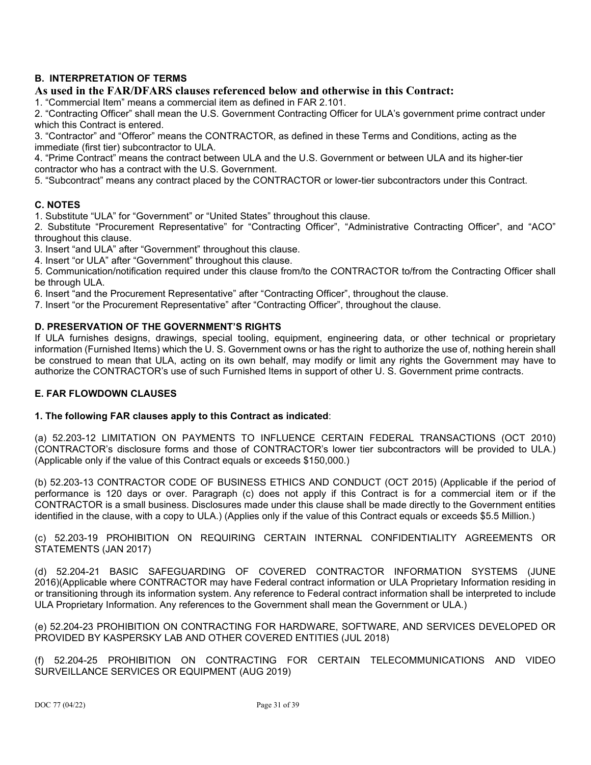# **B. INTERPRETATION OF TERMS**

# **As used in the FAR/DFARS clauses referenced below and otherwise in this Contract:**

1. "Commercial Item" means a commercial item as defined in FAR 2.101.

2. "Contracting Officer" shall mean the U.S. Government Contracting Officer for ULA's government prime contract under which this Contract is entered.

3. "Contractor" and "Offeror" means the CONTRACTOR, as defined in these Terms and Conditions, acting as the immediate (first tier) subcontractor to ULA.

4. "Prime Contract" means the contract between ULA and the U.S. Government or between ULA and its higher-tier contractor who has a contract with the U.S. Government.

5. "Subcontract" means any contract placed by the CONTRACTOR or lower-tier subcontractors under this Contract.

### **C. NOTES**

1. Substitute "ULA" for "Government" or "United States" throughout this clause.

2. Substitute "Procurement Representative" for "Contracting Officer", "Administrative Contracting Officer", and "ACO" throughout this clause.

3. Insert "and ULA" after "Government" throughout this clause.

4. Insert "or ULA" after "Government" throughout this clause.

5. Communication/notification required under this clause from/to the CONTRACTOR to/from the Contracting Officer shall be through ULA.

6. Insert "and the Procurement Representative" after "Contracting Officer", throughout the clause.

7. Insert "or the Procurement Representative" after "Contracting Officer", throughout the clause.

### **D. PRESERVATION OF THE GOVERNMENT'S RIGHTS**

If ULA furnishes designs, drawings, special tooling, equipment, engineering data, or other technical or proprietary information (Furnished Items) which the U. S. Government owns or has the right to authorize the use of, nothing herein shall be construed to mean that ULA, acting on its own behalf, may modify or limit any rights the Government may have to authorize the CONTRACTOR's use of such Furnished Items in support of other U. S. Government prime contracts.

# **E. FAR FLOWDOWN CLAUSES**

#### **1. The following FAR clauses apply to this Contract as indicated**:

(a) 52.203-12 LIMITATION ON PAYMENTS TO INFLUENCE CERTAIN FEDERAL TRANSACTIONS (OCT 2010) (CONTRACTOR's disclosure forms and those of CONTRACTOR's lower tier subcontractors will be provided to ULA.) (Applicable only if the value of this Contract equals or exceeds \$150,000.)

(b) 52.203-13 CONTRACTOR CODE OF BUSINESS ETHICS AND CONDUCT (OCT 2015) (Applicable if the period of performance is 120 days or over. Paragraph (c) does not apply if this Contract is for a commercial item or if the CONTRACTOR is a small business. Disclosures made under this clause shall be made directly to the Government entities identified in the clause, with a copy to ULA.) (Applies only if the value of this Contract equals or exceeds \$5.5 Million.)

(c) 52.203-19 PROHIBITION ON REQUIRING CERTAIN INTERNAL CONFIDENTIALITY AGREEMENTS OR STATEMENTS (JAN 2017)

(d) 52.204-21 BASIC SAFEGUARDING OF COVERED CONTRACTOR INFORMATION SYSTEMS (JUNE 2016)(Applicable where CONTRACTOR may have Federal contract information or ULA Proprietary Information residing in or transitioning through its information system. Any reference to Federal contract information shall be interpreted to include ULA Proprietary Information. Any references to the Government shall mean the Government or ULA.)

(e) 52.204-23 PROHIBITION ON CONTRACTING FOR HARDWARE, SOFTWARE, AND SERVICES DEVELOPED OR PROVIDED BY KASPERSKY LAB AND OTHER COVERED ENTITIES (JUL 2018)

(f) 52.204-25 PROHIBITION ON CONTRACTING FOR CERTAIN TELECOMMUNICATIONS AND VIDEO SURVEILLANCE SERVICES OR EQUIPMENT (AUG 2019)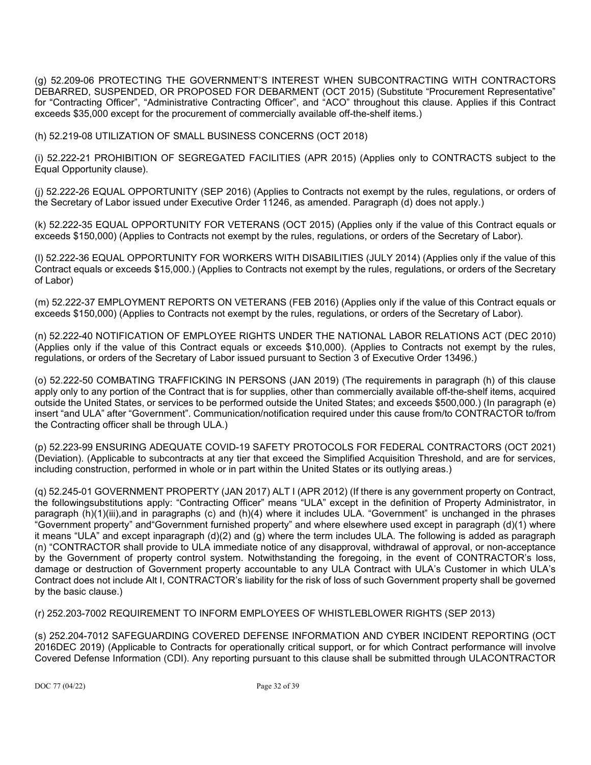(g) 52.209-06 PROTECTING THE GOVERNMENT'S INTEREST WHEN SUBCONTRACTING WITH CONTRACTORS DEBARRED, SUSPENDED, OR PROPOSED FOR DEBARMENT (OCT 2015) (Substitute "Procurement Representative" for "Contracting Officer", "Administrative Contracting Officer", and "ACO" throughout this clause. Applies if this Contract exceeds \$35,000 except for the procurement of commercially available off-the-shelf items.)

(h) 52.219-08 UTILIZATION OF SMALL BUSINESS CONCERNS (OCT 2018)

(i) 52.222-21 PROHIBITION OF SEGREGATED FACILITIES (APR 2015) (Applies only to CONTRACTS subject to the Equal Opportunity clause).

(j) 52.222-26 EQUAL OPPORTUNITY (SEP 2016) (Applies to Contracts not exempt by the rules, regulations, or orders of the Secretary of Labor issued under Executive Order 11246, as amended. Paragraph (d) does not apply.)

(k) 52.222-35 EQUAL OPPORTUNITY FOR VETERANS (OCT 2015) (Applies only if the value of this Contract equals or exceeds \$150,000) (Applies to Contracts not exempt by the rules, regulations, or orders of the Secretary of Labor).

(l) 52.222-36 EQUAL OPPORTUNITY FOR WORKERS WITH DISABILITIES (JULY 2014) (Applies only if the value of this Contract equals or exceeds \$15,000.) (Applies to Contracts not exempt by the rules, regulations, or orders of the Secretary of Labor)

(m) 52.222-37 EMPLOYMENT REPORTS ON VETERANS (FEB 2016) (Applies only if the value of this Contract equals or exceeds \$150,000) (Applies to Contracts not exempt by the rules, regulations, or orders of the Secretary of Labor).

(n) 52.222-40 NOTIFICATION OF EMPLOYEE RIGHTS UNDER THE NATIONAL LABOR RELATIONS ACT (DEC 2010) (Applies only if the value of this Contract equals or exceeds \$10,000). (Applies to Contracts not exempt by the rules, regulations, or orders of the Secretary of Labor issued pursuant to Section 3 of Executive Order 13496.)

(o) 52.222-50 COMBATING TRAFFICKING IN PERSONS (JAN 2019) (The requirements in paragraph (h) of this clause apply only to any portion of the Contract that is for supplies, other than commercially available off-the-shelf items, acquired outside the United States, or services to be performed outside the United States; and exceeds \$500,000.) (In paragraph (e) insert "and ULA" after "Government". Communication/notification required under this cause from/to CONTRACTOR to/from the Contracting officer shall be through ULA.)

(p) 52.223-99 ENSURING ADEQUATE COVID-19 SAFETY PROTOCOLS FOR FEDERAL CONTRACTORS (OCT 2021) (Deviation). (Applicable to subcontracts at any tier that exceed the Simplified Acquisition Threshold, and are for services, including construction, performed in whole or in part within the United States or its outlying areas.)

(q) 52.245-01 GOVERNMENT PROPERTY (JAN 2017) ALT I (APR 2012) (If there is any government property on Contract, the followingsubstitutions apply: "Contracting Officer" means "ULA" except in the definition of Property Administrator, in paragraph (h)(1)(iii),and in paragraphs (c) and (h)(4) where it includes ULA. "Government" is unchanged in the phrases "Government property" and"Government furnished property" and where elsewhere used except in paragraph (d)(1) where it means "ULA" and except inparagraph (d)(2) and (g) where the term includes ULA. The following is added as paragraph (n) "CONTRACTOR shall provide to ULA immediate notice of any disapproval, withdrawal of approval, or non-acceptance by the Government of property control system. Notwithstanding the foregoing, in the event of CONTRACTOR's loss, damage or destruction of Government property accountable to any ULA Contract with ULA's Customer in which ULA's Contract does not include Alt I, CONTRACTOR's liability for the risk of loss of such Government property shall be governed by the basic clause.)

(r) 252.203-7002 REQUIREMENT TO INFORM EMPLOYEES OF WHISTLEBLOWER RIGHTS (SEP 2013)

(s) 252.204-7012 SAFEGUARDING COVERED DEFENSE INFORMATION AND CYBER INCIDENT REPORTING (OCT 2016DEC 2019) (Applicable to Contracts for operationally critical support, or for which Contract performance will involve Covered Defense Information (CDI). Any reporting pursuant to this clause shall be submitted through ULACONTRACTOR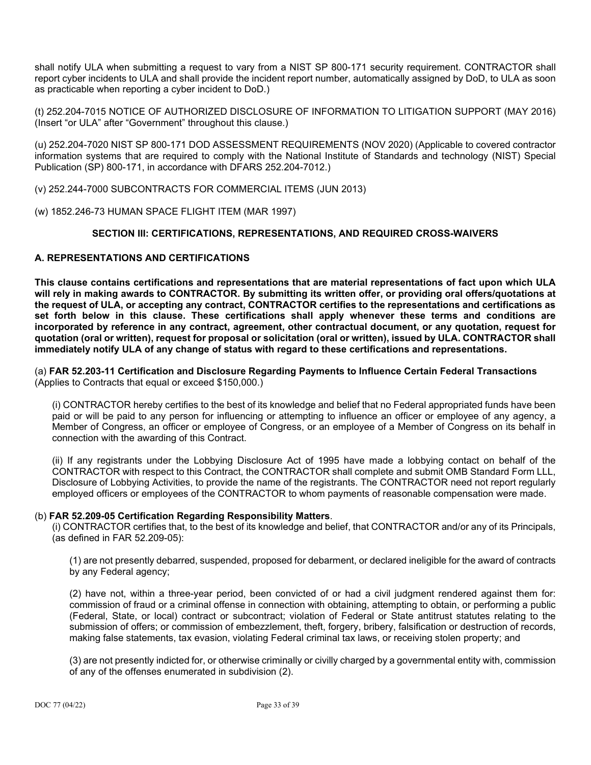shall notify ULA when submitting a request to vary from a NIST SP 800-171 security requirement. CONTRACTOR shall report cyber incidents to ULA and shall provide the incident report number, automatically assigned by DoD, to ULA as soon as practicable when reporting a cyber incident to DoD.)

(t) 252.204-7015 NOTICE OF AUTHORIZED DISCLOSURE OF INFORMATION TO LITIGATION SUPPORT (MAY 2016) (Insert "or ULA" after "Government" throughout this clause.)

(u) 252.204-7020 NIST SP 800-171 DOD ASSESSMENT REQUIREMENTS (NOV 2020) (Applicable to covered contractor information systems that are required to comply with the National Institute of Standards and technology (NIST) Special Publication (SP) 800-171, in accordance with DFARS 252.204-7012.)

(v) 252.244-7000 SUBCONTRACTS FOR COMMERCIAL ITEMS (JUN 2013)

(w) 1852.246-73 HUMAN SPACE FLIGHT ITEM (MAR 1997)

# **SECTION III: CERTIFICATIONS, REPRESENTATIONS, AND REQUIRED CROSS-WAIVERS**

# **A. REPRESENTATIONS AND CERTIFICATIONS**

**This clause contains certifications and representations that are material representations of fact upon which ULA will rely in making awards to CONTRACTOR. By submitting its written offer, or providing oral offers/quotations at the request of ULA, or accepting any contract, CONTRACTOR certifies to the representations and certifications as set forth below in this clause. These certifications shall apply whenever these terms and conditions are incorporated by reference in any contract, agreement, other contractual document, or any quotation, request for quotation (oral or written), request for proposal or solicitation (oral or written), issued by ULA. CONTRACTOR shall immediately notify ULA of any change of status with regard to these certifications and representations.**

(a) **FAR 52.203-11 Certification and Disclosure Regarding Payments to Influence Certain Federal Transactions** (Applies to Contracts that equal or exceed \$150,000.)

(i) CONTRACTOR hereby certifies to the best of its knowledge and belief that no Federal appropriated funds have been paid or will be paid to any person for influencing or attempting to influence an officer or employee of any agency, a Member of Congress, an officer or employee of Congress, or an employee of a Member of Congress on its behalf in connection with the awarding of this Contract.

(ii) If any registrants under the Lobbying Disclosure Act of 1995 have made a lobbying contact on behalf of the CONTRACTOR with respect to this Contract, the CONTRACTOR shall complete and submit OMB Standard Form LLL, Disclosure of Lobbying Activities, to provide the name of the registrants. The CONTRACTOR need not report regularly employed officers or employees of the CONTRACTOR to whom payments of reasonable compensation were made.

# (b) **FAR 52.209-05 Certification Regarding Responsibility Matters**.

(i) CONTRACTOR certifies that, to the best of its knowledge and belief, that CONTRACTOR and/or any of its Principals, (as defined in FAR 52.209-05):

(1) are not presently debarred, suspended, proposed for debarment, or declared ineligible for the award of contracts by any Federal agency;

(2) have not, within a three-year period, been convicted of or had a civil judgment rendered against them for: commission of fraud or a criminal offense in connection with obtaining, attempting to obtain, or performing a public (Federal, [State,](https://www.law.cornell.edu/cfr/text/48/52.209-5) or local) contract or [subcontract;](https://www.law.cornell.edu/cfr/text/48/52.209-5) violation of Federal or [State](https://www.law.cornell.edu/cfr/text/48/52.209-5) antitrust statutes relating to the submission of offers; or commission of embezzlement, theft, forgery, bribery, falsification or destruction of records, making false statements, tax evasion, violating Federal criminal tax laws, or receiving stolen [property;](https://www.law.cornell.edu/cfr/text/48/52.209-5) and

(3) are not presently indicted for, or otherwise criminally or civilly charged by a governmental entity with, commission of any of the offenses enumerated in subdivision (2).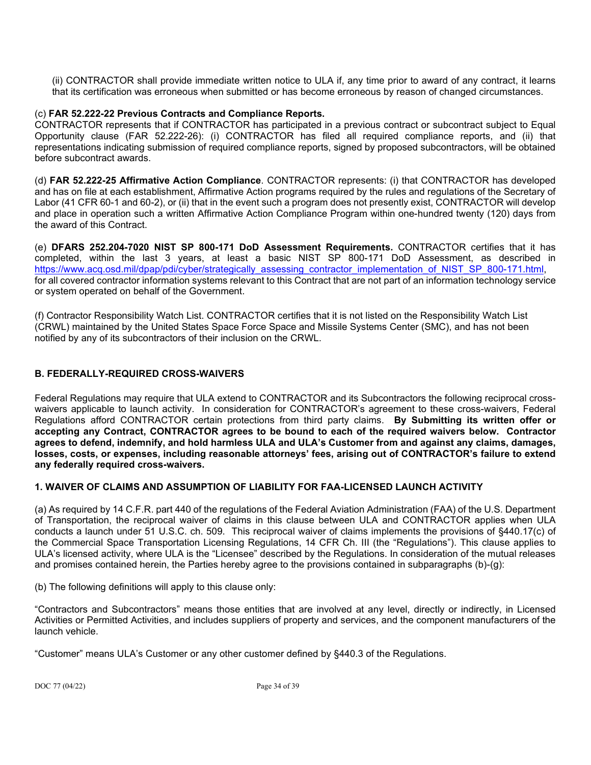(ii) CONTRACTOR shall provide immediate written notice to ULA if, any time prior to award of any contract, it learns that its certification was erroneous when submitted or has become erroneous by reason of changed circumstances.

### (c) **FAR 52.222-22 Previous Contracts and Compliance Reports.**

CONTRACTOR represents that if CONTRACTOR has participated in a previous contract or subcontract subject to Equal Opportunity clause (FAR 52.222-26): (i) CONTRACTOR has filed all required compliance reports, and (ii) that representations indicating submission of required compliance reports, signed by proposed subcontractors, will be obtained before subcontract awards.

(d) **FAR 52.222-25 Affirmative Action Compliance**. CONTRACTOR represents: (i) that CONTRACTOR has developed and has on file at each establishment, Affirmative Action programs required by the rules and regulations of the Secretary of Labor (41 CFR 60-1 and 60-2), or (ii) that in the event such a program does not presently exist, CONTRACTOR will develop and place in operation such a written Affirmative Action Compliance Program within one-hundred twenty (120) days from the award of this Contract.

(e) **DFARS 252.204-7020 NIST SP 800-171 DoD Assessment Requirements.** CONTRACTOR certifies that it has completed, within the last 3 years, at least a basic NIST SP 800-171 DoD Assessment, as described in [https://www.acq.osd.mil/dpap/pdi/cyber/strategically\\_assessing\\_contractor\\_implementation\\_of\\_NIST\\_SP\\_800-171.html,](https://www.acq.osd.mil/dpap/pdi/cyber/strategically_assessing_contractor_implementation_of_NIST_SP_800-171.html) for all covered contractor information systems relevant to this Contract that are not part of an information technology service or system operated on behalf of the Government.

(f) Contractor Responsibility Watch List. CONTRACTOR certifies that it is not listed on the Responsibility Watch List (CRWL) maintained by the United States Space Force Space and Missile Systems Center (SMC), and has not been notified by any of its subcontractors of their inclusion on the CRWL.

# **B. FEDERALLY-REQUIRED CROSS-WAIVERS**

Federal Regulations may require that ULA extend to CONTRACTOR and its Subcontractors the following reciprocal crosswaivers applicable to launch activity. In consideration for CONTRACTOR's agreement to these cross-waivers, Federal Regulations afford CONTRACTOR certain protections from third party claims. **By Submitting its written offer or accepting any Contract, CONTRACTOR agrees to be bound to each of the required waivers below. Contractor agrees to defend, indemnify, and hold harmless ULA and ULA's Customer from and against any claims, damages, losses, costs, or expenses, including reasonable attorneys' fees, arising out of CONTRACTOR's failure to extend any federally required cross-waivers.**

# **1. WAIVER OF CLAIMS AND ASSUMPTION OF LIABILITY FOR FAA-LICENSED LAUNCH ACTIVITY**

(a) As required by 14 C.F.R. part 440 of the regulations of the Federal Aviation Administration (FAA) of the U.S. Department of Transportation, the reciprocal waiver of claims in this clause between ULA and CONTRACTOR applies when ULA conducts a launch under 51 U.S.C. ch. 509. This reciprocal waiver of claims implements the provisions of §440.17(c) of the Commercial Space Transportation Licensing Regulations, 14 CFR Ch. III (the "Regulations"). This clause applies to ULA's licensed activity, where ULA is the "Licensee" described by the Regulations. In consideration of the mutual releases and promises contained herein, the Parties hereby agree to the provisions contained in subparagraphs (b)-(g):

(b) The following definitions will apply to this clause only:

"Contractors and Subcontractors" means those entities that are involved at any level, directly or indirectly, in Licensed Activities or Permitted Activities, and includes suppliers of property and services, and the component manufacturers of the launch vehicle.

"Customer" means ULA's Customer or any other customer defined by §440.3 of the Regulations.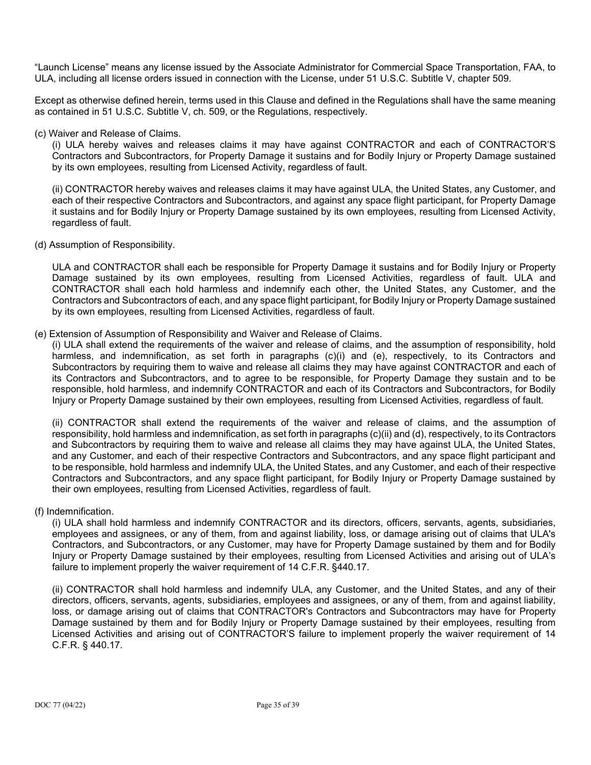"Launch License" means any license issued by the Associate Administrator for Commercial Space Transportation, FAA, to ULA, including all license orders issued in connection with the License, under 51 U.S.C. Subtitle V, chapter 509.

Except as otherwise defined herein, terms used in this Clause and defined in the Regulations shall have the same meaning as contained in 51 U.S.C. Subtitle V, ch. 509, or the Regulations, respectively.

#### (c) Waiver and Release of Claims.

(i) ULA hereby waives and releases claims it may have against CONTRACTOR and each of CONTRACTOR'S Contractors and Subcontractors, for Property Damage it sustains and for Bodily Injury or Property Damage sustained by its own employees, resulting from Licensed Activity, regardless of fault.

(ii) CONTRACTOR hereby waives and releases claims it may have against ULA, the United States, any Customer, and each of their respective Contractors and Subcontractors, and against any space flight participant, for Property Damage it sustains and for Bodily Injury or Property Damage sustained by its own employees, resulting from Licensed Activity, regardless of fault.

(d) Assumption of Responsibility.

ULA and CONTRACTOR shall each be responsible for Property Damage it sustains and for Bodily Injury or Property Damage sustained by its own employees, resulting from Licensed Activities, regardless of fault. ULA and CONTRACTOR shall each hold harmless and indemnify each other, the United States, any Customer, and the Contractors and Subcontractors of each, and any space flight participant, for Bodily Injury or Property Damage sustained by its own employees, resulting from Licensed Activities, regardless of fault.

### (e) Extension of Assumption of Responsibility and Waiver and Release of Claims.

(i) ULA shall extend the requirements of the waiver and release of claims, and the assumption of responsibility, hold harmless, and indemnification, as set forth in paragraphs (c)(i) and (e), respectively, to its Contractors and Subcontractors by requiring them to waive and release all claims they may have against CONTRACTOR and each of its Contractors and Subcontractors, and to agree to be responsible, for Property Damage they sustain and to be responsible, hold harmless, and indemnify CONTRACTOR and each of its Contractors and Subcontractors, for Bodily Injury or Property Damage sustained by their own employees, resulting from Licensed Activities, regardless of fault.

(ii) CONTRACTOR shall extend the requirements of the waiver and release of claims, and the assumption of responsibility, hold harmless and indemnification, as set forth in paragraphs (c)(ii) and (d), respectively, to its Contractors and Subcontractors by requiring them to waive and release all claims they may have against ULA, the United States, and any Customer, and each of their respective Contractors and Subcontractors, and any space flight participant and to be responsible, hold harmless and indemnify ULA, the United States, and any Customer, and each of their respective Contractors and Subcontractors, and any space flight participant, for Bodily Injury or Property Damage sustained by their own employees, resulting from Licensed Activities, regardless of fault.

# (f) Indemnification.

(i) ULA shall hold harmless and indemnify CONTRACTOR and its directors, officers, servants, agents, subsidiaries, employees and assignees, or any of them, from and against liability, loss, or damage arising out of claims that ULA's Contractors, and Subcontractors, or any Customer, may have for Property Damage sustained by them and for Bodily Injury or Property Damage sustained by their employees, resulting from Licensed Activities and arising out of ULA's failure to implement properly the waiver requirement of 14 C.F.R. §440.17.

(ii) CONTRACTOR shall hold harmless and indemnify ULA, any Customer, and the United States, and any of their directors, officers, servants, agents, subsidiaries, employees and assignees, or any of them, from and against liability, loss, or damage arising out of claims that CONTRACTOR's Contractors and Subcontractors may have for Property Damage sustained by them and for Bodily Injury or Property Damage sustained by their employees, resulting from Licensed Activities and arising out of CONTRACTOR'S failure to implement properly the waiver requirement of 14 C.F.R. § 440.17.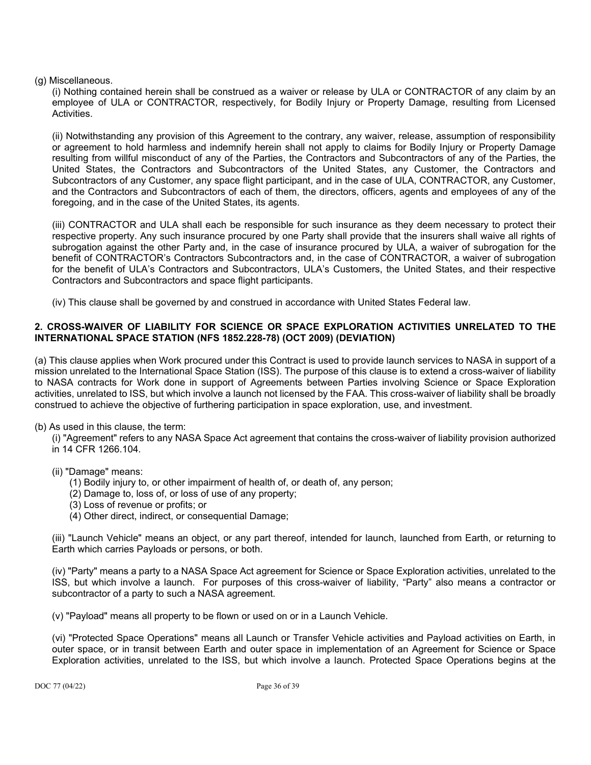# (g) Miscellaneous.

(i) Nothing contained herein shall be construed as a waiver or release by ULA or CONTRACTOR of any claim by an employee of ULA or CONTRACTOR, respectively, for Bodily Injury or Property Damage, resulting from Licensed Activities.

(ii) Notwithstanding any provision of this Agreement to the contrary, any waiver, release, assumption of responsibility or agreement to hold harmless and indemnify herein shall not apply to claims for Bodily Injury or Property Damage resulting from willful misconduct of any of the Parties, the Contractors and Subcontractors of any of the Parties, the United States, the Contractors and Subcontractors of the United States, any Customer, the Contractors and Subcontractors of any Customer, any space flight participant, and in the case of ULA, CONTRACTOR, any Customer, and the Contractors and Subcontractors of each of them, the directors, officers, agents and employees of any of the foregoing, and in the case of the United States, its agents.

(iii) CONTRACTOR and ULA shall each be responsible for such insurance as they deem necessary to protect their respective property. Any such insurance procured by one Party shall provide that the insurers shall waive all rights of subrogation against the other Party and, in the case of insurance procured by ULA, a waiver of subrogation for the benefit of CONTRACTOR's Contractors Subcontractors and, in the case of CONTRACTOR, a waiver of subrogation for the benefit of ULA's Contractors and Subcontractors, ULA's Customers, the United States, and their respective Contractors and Subcontractors and space flight participants.

(iv) This clause shall be governed by and construed in accordance with United States Federal law.

# **2. CROSS-WAIVER OF LIABILITY FOR SCIENCE OR SPACE EXPLORATION ACTIVITIES UNRELATED TO THE INTERNATIONAL SPACE STATION (NFS 1852.228-78) (OCT 2009) (DEVIATION)**

(a) This clause applies when Work procured under this Contract is used to provide launch services to NASA in support of a mission unrelated to the International Space Station (ISS). The purpose of this clause is to extend a cross-waiver of liability to NASA contracts for Work done in support of Agreements between Parties involving Science or Space Exploration activities, unrelated to ISS, but which involve a launch not licensed by the FAA. This cross-waiver of liability shall be broadly construed to achieve the objective of furthering participation in space exploration, use, and investment.

(b) As used in this clause, the term:

- (i) "Agreement" refers to any NASA Space Act agreement that contains the cross-waiver of liability provision authorized in 14 CFR 1266.104.
- (ii) "Damage" means:
	- (1) Bodily injury to, or other impairment of health of, or death of, any person;
	- (2) Damage to, loss of, or loss of use of any property;
	- (3) Loss of revenue or profits; or
	- (4) Other direct, indirect, or consequential Damage;

(iii) "Launch Vehicle" means an object, or any part thereof, intended for launch, launched from Earth, or returning to Earth which carries Payloads or persons, or both.

(iv) "Party" means a party to a NASA Space Act agreement for Science or Space Exploration activities, unrelated to the ISS, but which involve a launch. For purposes of this cross-waiver of liability, "Party" also means a contractor or subcontractor of a party to such a NASA agreement.

(v) "Payload" means all property to be flown or used on or in a Launch Vehicle.

(vi) "Protected Space Operations" means all Launch or Transfer Vehicle activities and Payload activities on Earth, in outer space, or in transit between Earth and outer space in implementation of an Agreement for Science or Space Exploration activities, unrelated to the ISS, but which involve a launch. Protected Space Operations begins at the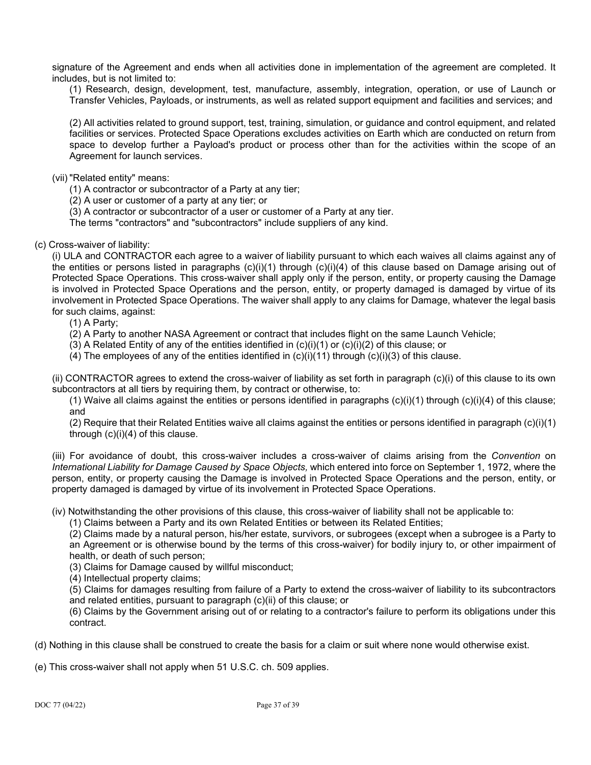signature of the Agreement and ends when all activities done in implementation of the agreement are completed. It includes, but is not limited to:

(1) Research, design, development, test, manufacture, assembly, integration, operation, or use of Launch or Transfer Vehicles, Payloads, or instruments, as well as related support equipment and facilities and services; and

(2) All activities related to ground support, test, training, simulation, or guidance and control equipment, and related facilities or services. Protected Space Operations excludes activities on Earth which are conducted on return from space to develop further a Payload's product or process other than for the activities within the scope of an Agreement for launch services.

(vii) "Related entity" means:

(1) A contractor or subcontractor of a Party at any tier;

- (2) A user or customer of a party at any tier; or
- (3) A contractor or subcontractor of a user or customer of a Party at any tier.

The terms "contractors" and "subcontractors" include suppliers of any kind.

### (c) Cross-waiver of liability:

(i) ULA and CONTRACTOR each agree to a waiver of liability pursuant to which each waives all claims against any of the entities or persons listed in paragraphs  $(c)(i)(1)$  through  $(c)(i)(4)$  of this clause based on Damage arising out of Protected Space Operations. This cross-waiver shall apply only if the person, entity, or property causing the Damage is involved in Protected Space Operations and the person, entity, or property damaged is damaged by virtue of its involvement in Protected Space Operations. The waiver shall apply to any claims for Damage, whatever the legal basis for such claims, against:

(1) A Party;

- (2) A Party to another NASA Agreement or contract that includes flight on the same Launch Vehicle;
- (3) A Related Entity of any of the entities identified in  $(c)(i)(1)$  or  $(c)(i)(2)$  of this clause; or
- (4) The employees of any of the entities identified in  $(c)(i)(11)$  through  $(c)(i)(3)$  of this clause.

(ii) CONTRACTOR agrees to extend the cross-waiver of liability as set forth in paragraph (c)(i) of this clause to its own subcontractors at all tiers by requiring them, by contract or otherwise, to:

(1) Waive all claims against the entities or persons identified in paragraphs  $(c)(i)(1)$  through  $(c)(i)(4)$  of this clause; and

(2) Require that their Related Entities waive all claims against the entities or persons identified in paragraph  $(c)(i)(1)$ through (c)(i)(4) of this clause.

(iii) For avoidance of doubt, this cross-waiver includes a cross-waiver of claims arising from the *Convention* on *International Liability for Damage Caused by Space Objects,* which entered into force on September 1, 1972, where the person, entity, or property causing the Damage is involved in Protected Space Operations and the person, entity, or property damaged is damaged by virtue of its involvement in Protected Space Operations.

(iv) Notwithstanding the other provisions of this clause, this cross-waiver of liability shall not be applicable to:

(1) Claims between a Party and its own Related Entities or between its Related Entities;

(2) Claims made by a natural person, his/her estate, survivors, or subrogees (except when a subrogee is a Party to an Agreement or is otherwise bound by the terms of this cross-waiver) for bodily injury to, or other impairment of health, or death of such person;

(3) Claims for Damage caused by willful misconduct;

(4) Intellectual property claims;

(5) Claims for damages resulting from failure of a Party to extend the cross-waiver of liability to its subcontractors and related entities, pursuant to paragraph (c)(ii) of this clause; or

(6) Claims by the Government arising out of or relating to a contractor's failure to perform its obligations under this contract.

(d) Nothing in this clause shall be construed to create the basis for a claim or suit where none would otherwise exist.

(e) This cross-waiver shall not apply when 51 U.S.C. ch. 509 applies.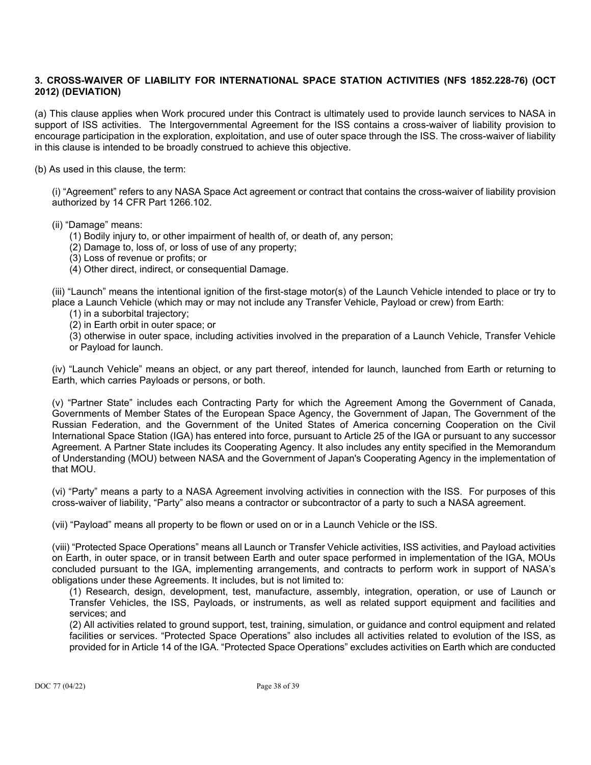# **3. CROSS-WAIVER OF LIABILITY FOR INTERNATIONAL SPACE STATION ACTIVITIES (NFS 1852.228-76) (OCT 2012) (DEVIATION)**

(a) This clause applies when Work procured under this Contract is ultimately used to provide launch services to NASA in support of ISS activities. The Intergovernmental Agreement for the ISS contains a cross-waiver of liability provision to encourage participation in the exploration, exploitation, and use of outer space through the ISS. The cross-waiver of liability in this clause is intended to be broadly construed to achieve this objective.

(b) As used in this clause, the term:

(i) "Agreement" refers to any NASA Space Act agreement or contract that contains the cross-waiver of liability provision authorized by 14 CFR Part 1266.102.

(ii) "Damage" means:

(1) Bodily injury to, or other impairment of health of, or death of, any person;

(2) Damage to, loss of, or loss of use of any property;

(3) Loss of revenue or profits; or

(4) Other direct, indirect, or consequential Damage.

(iii) "Launch" means the intentional ignition of the first-stage motor(s) of the Launch Vehicle intended to place or try to place a Launch Vehicle (which may or may not include any Transfer Vehicle, Payload or crew) from Earth:

(1) in a suborbital trajectory;

(2) in Earth orbit in outer space; or

(3) otherwise in outer space, including activities involved in the preparation of a Launch Vehicle, Transfer Vehicle or Payload for launch.

(iv) "Launch Vehicle" means an object, or any part thereof, intended for launch, launched from Earth or returning to Earth, which carries Payloads or persons, or both.

(v) "Partner State" includes each Contracting Party for which the Agreement Among the Government of Canada, Governments of Member States of the European Space Agency, the Government of Japan, The Government of the Russian Federation, and the Government of the United States of America concerning Cooperation on the Civil International Space Station (IGA) has entered into force, pursuant to Article 25 of the IGA or pursuant to any successor Agreement. A Partner State includes its Cooperating Agency. It also includes any entity specified in the Memorandum of Understanding (MOU) between NASA and the Government of Japan's Cooperating Agency in the implementation of that MOU.

(vi) "Party" means a party to a NASA Agreement involving activities in connection with the ISS. For purposes of this cross-waiver of liability, "Party" also means a contractor or subcontractor of a party to such a NASA agreement.

(vii) "Payload" means all property to be flown or used on or in a Launch Vehicle or the ISS.

(viii) "Protected Space Operations" means all Launch or Transfer Vehicle activities, ISS activities, and Payload activities on Earth, in outer space, or in transit between Earth and outer space performed in implementation of the IGA, MOUs concluded pursuant to the IGA, implementing arrangements, and contracts to perform work in support of NASA's obligations under these Agreements. It includes, but is not limited to:

(1) Research, design, development, test, manufacture, assembly, integration, operation, or use of Launch or Transfer Vehicles, the ISS, Payloads, or instruments, as well as related support equipment and facilities and services; and

(2) All activities related to ground support, test, training, simulation, or guidance and control equipment and related facilities or services. "Protected Space Operations" also includes all activities related to evolution of the ISS, as provided for in Article 14 of the IGA. "Protected Space Operations" excludes activities on Earth which are conducted